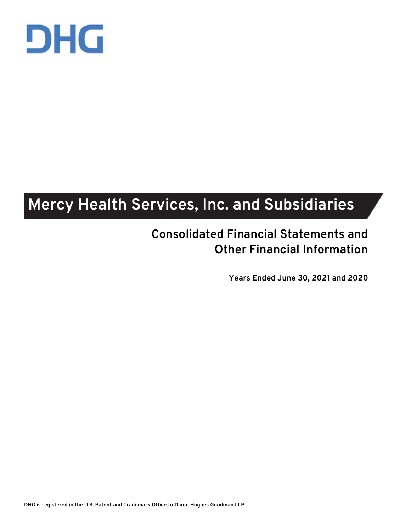

# **Mercy Health Services, Inc. and Subsidiaries**

## **Consolidated Financial Statements and Other Financial Information**

**Years Ended June 30, 2021 and 2020** 

**DHG is registered in the U.S. Patent and Trademark Office to Dixon Hughes Goodman LLP.**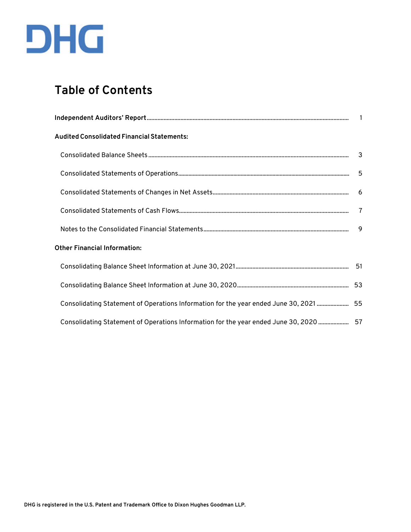

## **Table of Contents**

| <b>Audited Consolidated Financial Statements:</b>                                      |  |
|----------------------------------------------------------------------------------------|--|
|                                                                                        |  |
|                                                                                        |  |
|                                                                                        |  |
|                                                                                        |  |
|                                                                                        |  |
| <b>Other Financial Information:</b>                                                    |  |
|                                                                                        |  |
|                                                                                        |  |
| Consolidating Statement of Operations Information for the year ended June 30, 2021  55 |  |
| Consolidating Statement of Operations Information for the year ended June 30, 2020  57 |  |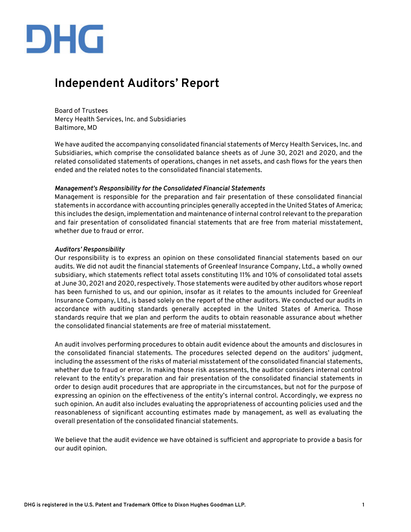

### **Independent Auditors' Report**

Board of Trustees Mercy Health Services, Inc. and Subsidiaries Baltimore, MD

We have audited the accompanying consolidated financial statements of Mercy Health Services, Inc. and Subsidiaries, which comprise the consolidated balance sheets as of June 30, 2021 and 2020, and the related consolidated statements of operations, changes in net assets, and cash flows for the years then ended and the related notes to the consolidated financial statements.

#### *Management's Responsibility for the Consolidated Financial Statements*

Management is responsible for the preparation and fair presentation of these consolidated financial statements in accordance with accounting principles generally accepted in the United States of America; this includes the design, implementation and maintenance of internal control relevant to the preparation and fair presentation of consolidated financial statements that are free from material misstatement, whether due to fraud or error.

#### *Auditors' Responsibility*

Our responsibility is to express an opinion on these consolidated financial statements based on our audits. We did not audit the financial statements of Greenleaf Insurance Company, Ltd., a wholly owned subsidiary, which statements reflect total assets constituting 11% and 10% of consolidated total assets at June 30, 2021 and 2020, respectively. Those statements were audited by other auditors whose report has been furnished to us, and our opinion, insofar as it relates to the amounts included for Greenleaf Insurance Company, Ltd., is based solely on the report of the other auditors. We conducted our audits in accordance with auditing standards generally accepted in the United States of America. Those standards require that we plan and perform the audits to obtain reasonable assurance about whether the consolidated financial statements are free of material misstatement.

An audit involves performing procedures to obtain audit evidence about the amounts and disclosures in the consolidated financial statements. The procedures selected depend on the auditors' judgment, including the assessment of the risks of material misstatement of the consolidated financial statements, whether due to fraud or error. In making those risk assessments, the auditor considers internal control relevant to the entity's preparation and fair presentation of the consolidated financial statements in order to design audit procedures that are appropriate in the circumstances, but not for the purpose of expressing an opinion on the effectiveness of the entity's internal control. Accordingly, we express no such opinion. An audit also includes evaluating the appropriateness of accounting policies used and the reasonableness of significant accounting estimates made by management, as well as evaluating the overall presentation of the consolidated financial statements.

We believe that the audit evidence we have obtained is sufficient and appropriate to provide a basis for our audit opinion.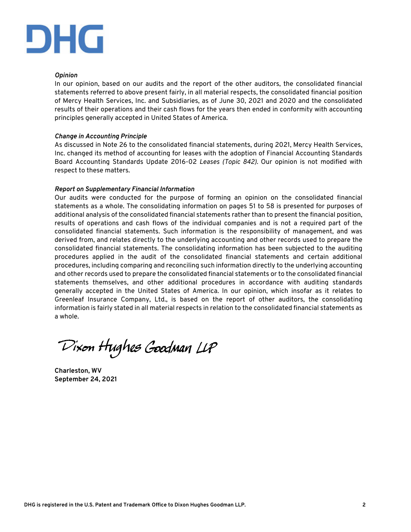

#### *Opinion*

In our opinion, based on our audits and the report of the other auditors, the consolidated financial statements referred to above present fairly, in all material respects, the consolidated financial position of Mercy Health Services, Inc. and Subsidiaries, as of June 30, 2021 and 2020 and the consolidated results of their operations and their cash flows for the years then ended in conformity with accounting principles generally accepted in United States of America.

#### *Change in Accounting Principle*

As discussed in Note 26 to the consolidated financial statements, during 2021, Mercy Health Services, Inc. changed its method of accounting for leases with the adoption of Financial Accounting Standards Board Accounting Standards Update 2016-02 *Leases (Topic 842).* Our opinion is not modified with respect to these matters.

#### *Report on Supplementary Financial Information*

Our audits were conducted for the purpose of forming an opinion on the consolidated financial statements as a whole. The consolidating information on pages 51 to 58 is presented for purposes of additional analysis of the consolidated financial statements rather than to present the financial position, results of operations and cash flows of the individual companies and is not a required part of the consolidated financial statements. Such information is the responsibility of management, and was derived from, and relates directly to the underlying accounting and other records used to prepare the consolidated financial statements. The consolidating information has been subjected to the auditing procedures applied in the audit of the consolidated financial statements and certain additional procedures, including comparing and reconciling such information directly to the underlying accounting and other records used to prepare the consolidated financial statements or to the consolidated financial statements themselves, and other additional procedures in accordance with auditing standards generally accepted in the United States of America. In our opinion, which insofar as it relates to Greenleaf Insurance Company, Ltd., is based on the report of other auditors, the consolidating information is fairly stated in all material respects in relation to the consolidated financial statements as a whole.

Dixon Hughes Goodman LLP

**Charleston, WV September 24, 2021**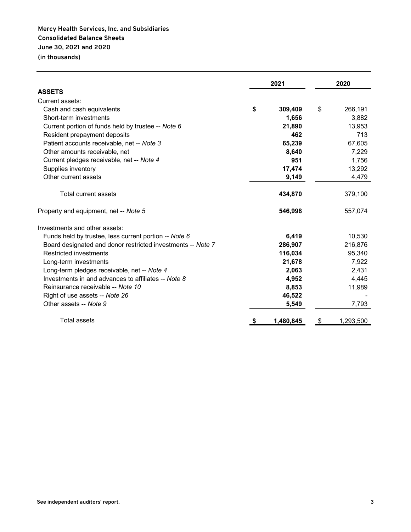**(in thousands) Consolidated Balance Sheets Mercy Health Services, Inc. and Subsidiaries June 30, 2021 and 2020**

|                                                             | 2021 |           | 2020          |
|-------------------------------------------------------------|------|-----------|---------------|
| <b>ASSETS</b>                                               |      |           |               |
| Current assets:                                             |      |           |               |
| Cash and cash equivalents                                   | \$   | 309,409   | \$<br>266,191 |
| Short-term investments                                      |      | 1,656     | 3,882         |
| Current portion of funds held by trustee -- Note 6          |      | 21,890    | 13,953        |
| Resident prepayment deposits                                |      | 462       | 713           |
| Patient accounts receivable, net -- Note 3                  |      | 65,239    | 67,605        |
| Other amounts receivable, net                               |      | 8.640     | 7,229         |
| Current pledges receivable, net -- Note 4                   |      | 951       | 1,756         |
| Supplies inventory                                          |      | 17,474    | 13,292        |
| Other current assets                                        |      | 9,149     | 4,479         |
| Total current assets                                        |      | 434,870   | 379,100       |
| Property and equipment, net -- Note 5                       |      | 546,998   | 557,074       |
| Investments and other assets:                               |      |           |               |
| Funds held by trustee, less current portion -- Note 6       |      | 6,419     | 10,530        |
| Board designated and donor restricted investments -- Note 7 |      | 286.907   | 216,876       |
| <b>Restricted investments</b>                               |      | 116,034   | 95,340        |
| Long-term investments                                       |      | 21,678    | 7.922         |
| Long-term pledges receivable, net -- Note 4                 |      | 2,063     | 2,431         |
| Investments in and advances to affiliates -- Note 8         |      | 4,952     | 4,445         |
| Reinsurance receivable -- Note 10                           |      | 8,853     | 11,989        |
| Right of use assets -- Note 26                              |      | 46,522    |               |
| Other assets -- Note 9                                      |      | 5,549     | 7,793         |
| <b>Total assets</b>                                         |      | 1,480,845 | 1,293,500     |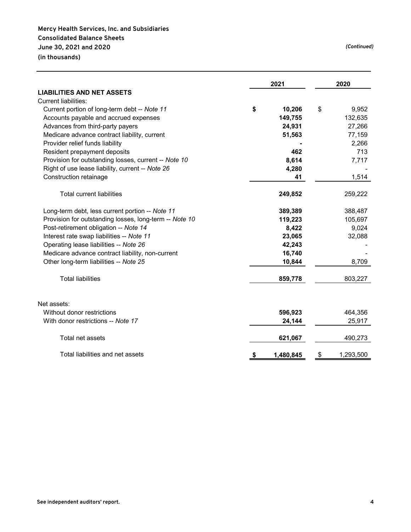|                                                        | 2021            | 2020 |           |  |
|--------------------------------------------------------|-----------------|------|-----------|--|
| <b>LIABILITIES AND NET ASSETS</b>                      |                 |      |           |  |
| <b>Current liabilities:</b>                            |                 |      |           |  |
| Current portion of long-term debt -- Note 11           | \$<br>10,206    | \$   | 9,952     |  |
| Accounts payable and accrued expenses                  | 149,755         |      | 132,635   |  |
| Advances from third-party payers                       | 24,931          |      | 27,266    |  |
| Medicare advance contract liability, current           | 51,563          |      | 77,159    |  |
| Provider relief funds liability                        |                 |      | 2,266     |  |
| Resident prepayment deposits                           | 462             |      | 713       |  |
| Provision for outstanding losses, current -- Note 10   | 8,614           |      | 7,717     |  |
| Right of use lease liability, current -- Note 26       | 4,280           |      |           |  |
| Construction retainage                                 | 41              |      | 1,514     |  |
| <b>Total current liabilities</b>                       | 249,852         |      | 259,222   |  |
| Long-term debt, less current portion -- Note 11        | 389,389         |      | 388,487   |  |
| Provision for outstanding losses, long-term -- Note 10 | 119,223         |      | 105,697   |  |
| Post-retirement obligation -- Note 14                  | 8,422           |      | 9,024     |  |
| Interest rate swap liabilities -- Note 11              | 23,065          |      | 32,088    |  |
| Operating lease liabilities -- Note 26                 | 42,243          |      |           |  |
| Medicare advance contract liability, non-current       | 16,740          |      |           |  |
| Other long-term liabilities -- Note 25                 | 10,844          |      | 8,709     |  |
| <b>Total liabilities</b>                               | 859,778         |      | 803,227   |  |
| Net assets:                                            |                 |      |           |  |
| Without donor restrictions                             | 596,923         |      | 464,356   |  |
| With donor restrictions -- Note 17                     | 24,144          |      | 25,917    |  |
| Total net assets                                       | 621,067         |      | 490,273   |  |
| Total liabilities and net assets                       | \$<br>1,480,845 | \$   | 1,293,500 |  |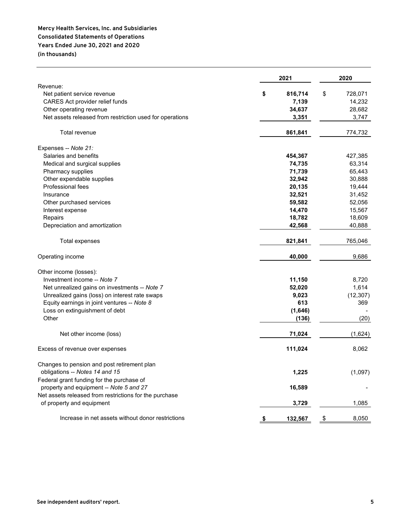#### **(in thousands) Mercy Health Services, Inc. and Subsidiaries Years Ended June 30, 2021 and 2020 Consolidated Statements of Operations**

|                                                          | 2021          | 2020               |
|----------------------------------------------------------|---------------|--------------------|
| Revenue:                                                 |               |                    |
| Net patient service revenue                              | \$<br>816,714 | \$<br>728,071      |
| CARES Act provider relief funds                          | 7,139         | 14,232             |
| Other operating revenue                                  | 34,637        | 28,682             |
| Net assets released from restriction used for operations | 3,351         | 3,747              |
| Total revenue                                            | 861,841       | 774,732            |
| Expenses -- Note 21:                                     |               |                    |
| Salaries and benefits                                    | 454,367       | 427,385            |
| Medical and surgical supplies                            | 74,735        | 63,314             |
| Pharmacy supplies                                        | 71,739        | 65,443             |
| Other expendable supplies                                | 32,942        | 30,888             |
| Professional fees                                        | 20,135        | 19,444             |
| Insurance                                                | 32,521        | 31,452             |
| Other purchased services                                 | 59,582        | 52,056             |
| Interest expense                                         | 14,470        | 15,567             |
| Repairs                                                  | 18,782        | 18,609             |
| Depreciation and amortization                            | 42,568        | 40,888             |
| Total expenses                                           | 821,841       | 765,046            |
| Operating income                                         | 40,000        | 9,686              |
| Other income (losses):                                   |               |                    |
| Investment income -- Note 7                              | 11,150        | 8,720              |
| Net unrealized gains on investments -- Note 7            | 52,020        | 1,614              |
| Unrealized gains (loss) on interest rate swaps           | 9,023         | (12, 307)          |
| Equity earnings in joint ventures -- Note 8              | 613           | 369                |
| Loss on extinguishment of debt                           | (1,646)       |                    |
| Other                                                    | (136)         | (20)               |
| Net other income (loss)                                  | 71,024        | (1,624)            |
| Excess of revenue over expenses                          | 111,024       | 8,062              |
| Changes to pension and post retirement plan              |               |                    |
| obligations -- Notes 14 and 15                           | 1,225         | (1,097)            |
| Federal grant funding for the purchase of                |               |                    |
| property and equipment -- Note 5 and 27                  | 16,589        |                    |
| Net assets released from restrictions for the purchase   |               |                    |
| of property and equipment                                | 3,729         | 1,085              |
| Increase in net assets without donor restrictions        | 132,567<br>\$ | 8,050<br><u>\$</u> |
|                                                          |               |                    |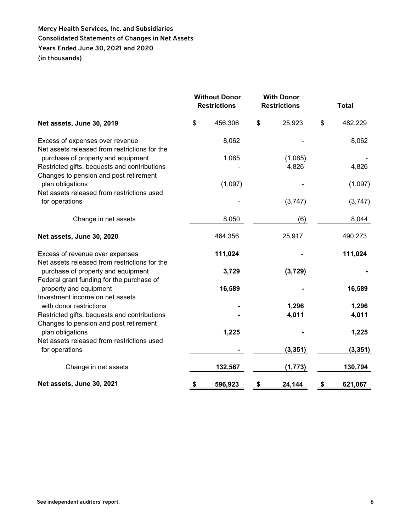#### **(in thousands) Years Ended June 30, 2021 and 2020 Consolidated Statements of Changes in Net Assets Mercy Health Services, Inc. and Subsidiaries**

|                                                                                        | <b>Without Donor</b><br><b>Restrictions</b> | <b>With Donor</b><br><b>Restrictions</b> | <b>Total</b> |          |  |
|----------------------------------------------------------------------------------------|---------------------------------------------|------------------------------------------|--------------|----------|--|
| Net assets, June 30, 2019                                                              | \$<br>456,306                               | \$<br>25,923                             | \$           | 482,229  |  |
| Excess of expenses over revenue<br>Net assets released from restrictions for the       | 8,062                                       |                                          |              | 8,062    |  |
| purchase of property and equipment                                                     | 1,085                                       | (1,085)                                  |              |          |  |
| Restricted gifts, bequests and contributions<br>Changes to pension and post retirement |                                             | 4,826                                    |              | 4,826    |  |
| plan obligations                                                                       | (1,097)                                     |                                          |              | (1,097)  |  |
| Net assets released from restrictions used<br>for operations                           |                                             | (3,747)                                  |              | (3,747)  |  |
| Change in net assets                                                                   | 8,050                                       | (6)                                      |              | 8,044    |  |
| Net assets, June 30, 2020                                                              | 464,356                                     | 25,917                                   |              | 490,273  |  |
| Excess of revenue over expenses<br>Net assets released from restrictions for the       | 111,024                                     |                                          |              | 111,024  |  |
| purchase of property and equipment<br>Federal grant funding for the purchase of        | 3,729                                       | (3,729)                                  |              |          |  |
| property and equipment<br>Investment income on net assets                              | 16,589                                      |                                          |              | 16,589   |  |
| with donor restrictions                                                                |                                             | 1,296                                    |              | 1,296    |  |
| Restricted gifts, bequests and contributions<br>Changes to pension and post retirement |                                             | 4,011                                    |              | 4,011    |  |
| plan obligations                                                                       | 1,225                                       |                                          |              | 1,225    |  |
| Net assets released from restrictions used<br>for operations                           |                                             | (3, 351)                                 |              | (3, 351) |  |
| Change in net assets                                                                   | 132,567                                     | (1, 773)                                 |              | 130,794  |  |
| Net assets, June 30, 2021                                                              | \$<br>596,923                               | \$<br>24,144                             | \$           | 621,067  |  |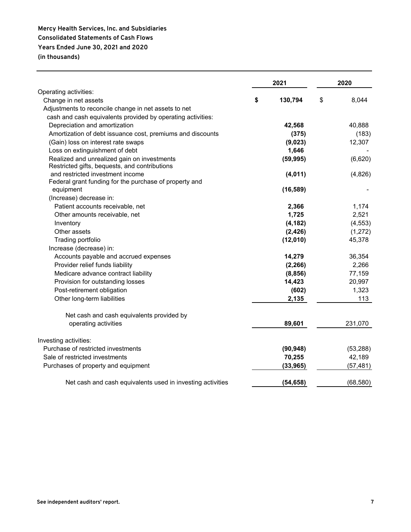### **Mercy Health Services, Inc. and Subsidiaries Years Ended June 30, 2021 and 2020 Consolidated Statements of Cash Flows**

|  | (in thousands) |
|--|----------------|
|--|----------------|

|                                                                                              |    | 2021      | 2020        |
|----------------------------------------------------------------------------------------------|----|-----------|-------------|
| Operating activities:                                                                        |    |           |             |
| Change in net assets                                                                         | \$ | 130,794   | \$<br>8,044 |
| Adjustments to reconcile change in net assets to net                                         |    |           |             |
| cash and cash equivalents provided by operating activities:                                  |    |           |             |
| Depreciation and amortization                                                                |    | 42,568    | 40,888      |
| Amortization of debt issuance cost, premiums and discounts                                   |    | (375)     | (183)       |
| (Gain) loss on interest rate swaps                                                           |    | (9,023)   | 12,307      |
| Loss on extinguishment of debt                                                               |    | 1,646     |             |
| Realized and unrealized gain on investments<br>Restricted gifts, bequests, and contributions |    | (59, 995) | (6,620)     |
| and restricted investment income                                                             |    | (4,011)   | (4,826)     |
| Federal grant funding for the purchase of property and                                       |    |           |             |
| equipment                                                                                    |    | (16, 589) |             |
| (Increase) decrease in:                                                                      |    |           |             |
| Patient accounts receivable, net                                                             |    | 2,366     | 1,174       |
| Other amounts receivable, net                                                                |    | 1,725     | 2,521       |
| Inventory                                                                                    |    | (4, 182)  | (4, 553)    |
| Other assets                                                                                 |    | (2, 426)  | (1,272)     |
| Trading portfolio                                                                            |    | (12,010)  | 45,378      |
| Increase (decrease) in:                                                                      |    |           |             |
| Accounts payable and accrued expenses                                                        |    | 14,279    | 36,354      |
| Provider relief funds liability                                                              |    | (2, 266)  | 2,266       |
| Medicare advance contract liability                                                          |    | (8, 856)  | 77,159      |
| Provision for outstanding losses                                                             |    | 14,423    | 20,997      |
| Post-retirement obligation                                                                   |    | (602)     | 1,323       |
| Other long-term liabilities                                                                  |    | 2,135     | 113         |
| Net cash and cash equivalents provided by                                                    |    |           |             |
| operating activities                                                                         |    | 89,601    | 231,070     |
| Investing activities:                                                                        |    |           |             |
| Purchase of restricted investments                                                           |    | (90, 948) | (53, 288)   |
| Sale of restricted investments                                                               |    | 70,255    | 42,189      |
| Purchases of property and equipment                                                          |    | (33, 965) | (57, 481)   |
| Net cash and cash equivalents used in investing activities                                   |    | (54, 658) | (68, 580)   |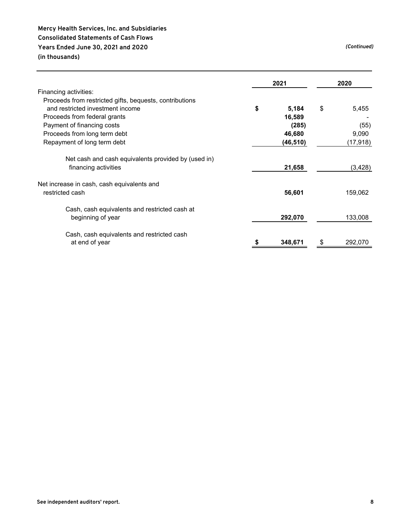#### **(in thousands) Mercy Health Services, Inc. and Subsidiaries Consolidated Statements of Cash Flows Years Ended June 30, 2021 and 2020**

*(Continued)*

|                                                                                             | 2021 |           | 2020        |
|---------------------------------------------------------------------------------------------|------|-----------|-------------|
| Financing activities:                                                                       |      |           |             |
| Proceeds from restricted gifts, bequests, contributions<br>and restricted investment income | \$   | 5,184     | \$<br>5,455 |
| Proceeds from federal grants                                                                |      | 16,589    |             |
| Payment of financing costs                                                                  |      | (285)     | (55)        |
| Proceeds from long term debt                                                                |      | 46,680    | 9,090       |
| Repayment of long term debt                                                                 |      | (46, 510) | (17, 918)   |
| Net cash and cash equivalents provided by (used in)                                         |      |           |             |
| financing activities                                                                        |      | 21,658    | (3, 428)    |
| Net increase in cash, cash equivalents and                                                  |      |           |             |
| restricted cash                                                                             |      | 56,601    | 159,062     |
| Cash, cash equivalents and restricted cash at                                               |      |           |             |
| beginning of year                                                                           |      | 292,070   | 133,008     |
| Cash, cash equivalents and restricted cash                                                  |      |           |             |
| at end of year                                                                              |      | 348,671   | 292,070     |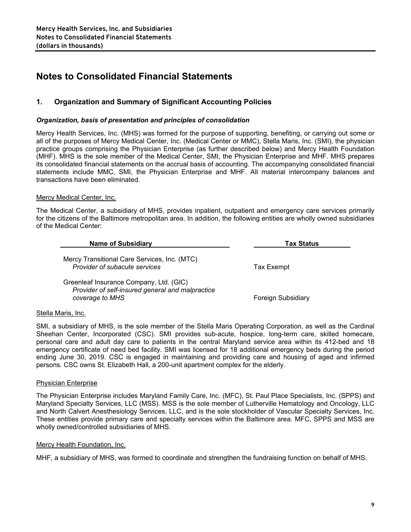### **Notes to Consolidated Financial Statements**

#### **1. Organization and Summary of Significant Accounting Policies**

#### *Organization, basis of presentation and principles of consolidation*

Mercy Health Services, Inc. (MHS) was formed for the purpose of supporting, benefiting, or carrying out some or all of the purposes of Mercy Medical Center, Inc. (Medical Center or MMC), Stella Maris, Inc. (SMI), the physician practice groups comprising the Physician Enterprise (as further described below) and Mercy Health Foundation (MHF). MHS is the sole member of the Medical Center, SMI, the Physician Enterprise and MHF. MHS prepares its consolidated financial statements on the accrual basis of accounting. The accompanying consolidated financial statements include MMC, SMI, the Physician Enterprise and MHF. All material intercompany balances and transactions have been eliminated.

#### Mercy Medical Center, Inc.

The Medical Center, a subsidiary of MHS, provides inpatient, outpatient and emergency care services primarily for the citizens of the Baltimore metropolitan area. In addition, the following entities are wholly owned subsidiaries of the Medical Center:

#### **Name of Subsidiary**  Tax Status **Tax Status**

 Mercy Transitional Care Services, Inc. (MTC) *Provider of subacute services* Tax Exempt

 Greenleaf Insurance Company, Ltd. (GIC) *Provider of self-insured general and malpractice coverage to MHS coverage to MHS coverage to MHS* 

#### Stella Maris, Inc.

SMI, a subsidiary of MHS, is the sole member of the Stella Maris Operating Corporation, as well as the Cardinal Sheehan Center, Incorporated (CSC). SMI provides sub-acute, hospice, long-term care, skilled homecare, personal care and adult day care to patients in the central Maryland service area within its 412-bed and 18 emergency certificate of need bed facility. SMI was licensed for 18 additional emergency beds during the period ending June 30, 2019. CSC is engaged in maintaining and providing care and housing of aged and infirmed persons. CSC owns St. Elizabeth Hall, a 200-unit apartment complex for the elderly.

#### Physician Enterprise

The Physician Enterprise includes Maryland Family Care, Inc. (MFC), St. Paul Place Specialists, Inc. (SPPS) and Maryland Specialty Services, LLC (MSS). MSS is the sole member of Lutherville Hematology and Oncology, LLC and North Calvert Anesthesiology Services, LLC, and is the sole stockholder of Vascular Specialty Services, Inc. These entities provide primary care and specialty services within the Baltimore area. MFC, SPPS and MSS are wholly owned/controlled subsidiaries of MHS.

#### Mercy Health Foundation, Inc.

MHF, a subsidiary of MHS, was formed to coordinate and strengthen the fundraising function on behalf of MHS.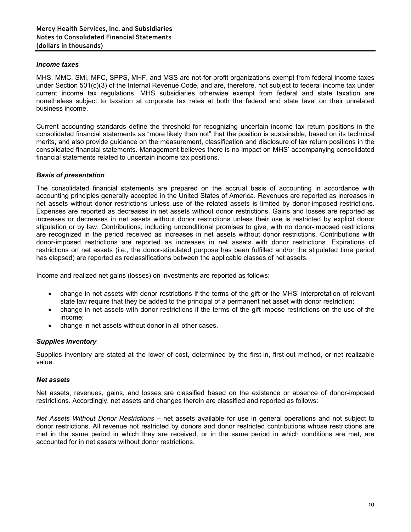#### *Income taxes*

MHS, MMC, SMI, MFC, SPPS, MHF, and MSS are not-for-profit organizations exempt from federal income taxes under Section 501(c)(3) of the Internal Revenue Code, and are, therefore, not subject to federal income tax under current income tax regulations. MHS subsidiaries otherwise exempt from federal and state taxation are nonetheless subject to taxation at corporate tax rates at both the federal and state level on their unrelated business income.

Current accounting standards define the threshold for recognizing uncertain income tax return positions in the consolidated financial statements as "more likely than not" that the position is sustainable, based on its technical merits, and also provide guidance on the measurement, classification and disclosure of tax return positions in the consolidated financial statements. Management believes there is no impact on MHS' accompanying consolidated financial statements related to uncertain income tax positions.

#### *Basis of presentation*

The consolidated financial statements are prepared on the accrual basis of accounting in accordance with accounting principles generally accepted in the United States of America. Revenues are reported as increases in net assets without donor restrictions unless use of the related assets is limited by donor-imposed restrictions. Expenses are reported as decreases in net assets without donor restrictions. Gains and losses are reported as increases or decreases in net assets without donor restrictions unless their use is restricted by explicit donor stipulation or by law. Contributions, including unconditional promises to give, with no donor-imposed restrictions are recognized in the period received as increases in net assets without donor restrictions. Contributions with donor-imposed restrictions are reported as increases in net assets with donor restrictions. Expirations of restrictions on net assets (i.e., the donor-stipulated purpose has been fulfilled and/or the stipulated time period has elapsed) are reported as reclassifications between the applicable classes of net assets.

Income and realized net gains (losses) on investments are reported as follows:

- change in net assets with donor restrictions if the terms of the gift or the MHS' interpretation of relevant state law require that they be added to the principal of a permanent net asset with donor restriction;
- change in net assets with donor restrictions if the terms of the gift impose restrictions on the use of the income;
- change in net assets without donor in all other cases.

#### *Supplies inventory*

Supplies inventory are stated at the lower of cost, determined by the first-in, first-out method, or net realizable value.

#### *Net assets*

Net assets, revenues, gains, and losses are classified based on the existence or absence of donor-imposed restrictions. Accordingly, net assets and changes therein are classified and reported as follows:

*Net Assets Without Donor Restrictions* – net assets available for use in general operations and not subject to donor restrictions. All revenue not restricted by donors and donor restricted contributions whose restrictions are met in the same period in which they are received, or in the same period in which conditions are met, are accounted for in net assets without donor restrictions.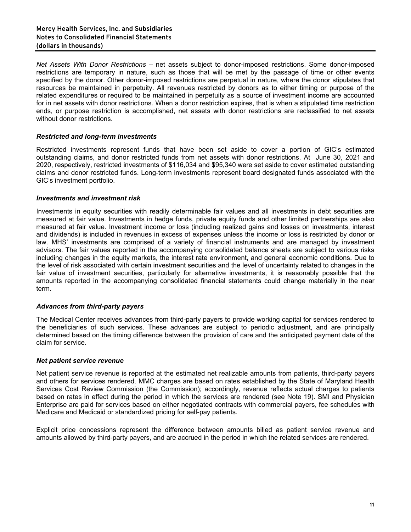*Net Assets With Donor Restrictions* – net assets subject to donor-imposed restrictions. Some donor-imposed restrictions are temporary in nature, such as those that will be met by the passage of time or other events specified by the donor. Other donor-imposed restrictions are perpetual in nature, where the donor stipulates that resources be maintained in perpetuity. All revenues restricted by donors as to either timing or purpose of the related expenditures or required to be maintained in perpetuity as a source of investment income are accounted for in net assets with donor restrictions. When a donor restriction expires, that is when a stipulated time restriction ends, or purpose restriction is accomplished, net assets with donor restrictions are reclassified to net assets without donor restrictions.

#### *Restricted and long-term investments*

Restricted investments represent funds that have been set aside to cover a portion of GIC's estimated outstanding claims, and donor restricted funds from net assets with donor restrictions. At June 30, 2021 and 2020, respectively, restricted investments of \$116,034 and \$95,340 were set aside to cover estimated outstanding claims and donor restricted funds. Long-term investments represent board designated funds associated with the GIC's investment portfolio.

#### *Investments and investment risk*

Investments in equity securities with readily determinable fair values and all investments in debt securities are measured at fair value. Investments in hedge funds, private equity funds and other limited partnerships are also measured at fair value. Investment income or loss (including realized gains and losses on investments, interest and dividends) is included in revenues in excess of expenses unless the income or loss is restricted by donor or law. MHS' investments are comprised of a variety of financial instruments and are managed by investment advisors. The fair values reported in the accompanying consolidated balance sheets are subject to various risks including changes in the equity markets, the interest rate environment, and general economic conditions. Due to the level of risk associated with certain investment securities and the level of uncertainty related to changes in the fair value of investment securities, particularly for alternative investments, it is reasonably possible that the amounts reported in the accompanying consolidated financial statements could change materially in the near term.

#### *Advances from third-party payers*

The Medical Center receives advances from third-party payers to provide working capital for services rendered to the beneficiaries of such services. These advances are subject to periodic adjustment, and are principally determined based on the timing difference between the provision of care and the anticipated payment date of the claim for service.

#### *Net patient service revenue*

Net patient service revenue is reported at the estimated net realizable amounts from patients, third-party payers and others for services rendered. MMC charges are based on rates established by the State of Maryland Health Services Cost Review Commission (the Commission); accordingly, revenue reflects actual charges to patients based on rates in effect during the period in which the services are rendered (see Note 19). SMI and Physician Enterprise are paid for services based on either negotiated contracts with commercial payers, fee schedules with Medicare and Medicaid or standardized pricing for self-pay patients.

Explicit price concessions represent the difference between amounts billed as patient service revenue and amounts allowed by third-party payers, and are accrued in the period in which the related services are rendered.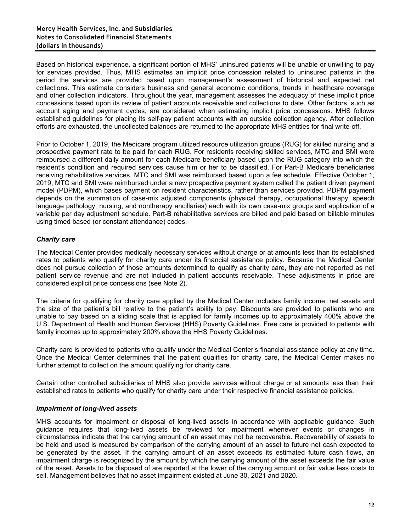#### **Mercy Health Services, Inc. and Subsidiaries Notes to Consolidated Financial Statements (dollars in thousands)**

Based on historical experience, a significant portion of MHS' uninsured patients will be unable or unwilling to pay for services provided. Thus, MHS estimates an implicit price concession related to uninsured patients in the period the services are provided based upon management's assessment of historical and expected net collections. This estimate considers business and general economic conditions, trends in healthcare coverage and other collection indicators. Throughout the year, management assesses the adequacy of these implicit price concessions based upon its review of patient accounts receivable and collections to date. Other factors, such as account aging and payment cycles, are considered when estimating implicit price concessions. MHS follows established guidelines for placing its self-pay patient accounts with an outside collection agency. After collection efforts are exhausted, the uncollected balances are returned to the appropriate MHS entities for final write-off.

Prior to October 1, 2019, the Medicare program utilized resource utilization groups (RUG) for skilled nursing and a prospective payment rate to be paid for each RUG. For residents receiving skilled services, MTC and SMI were reimbursed a different daily amount for each Medicare beneficiary based upon the RUG category into which the resident's condition and required services cause him or her to be classified. For Part-B Medicare beneficiaries receiving rehabilitative services, MTC and SMI was reimbursed based upon a fee schedule. Effective October 1, 2019, MTC and SMI were reimbursed under a new prospective payment system called the patient driven payment model (PDPM), which bases payment on resident characteristics, rather than services provided. PDPM payment depends on the summation of case-mix adjusted components (physical therapy, occupational therapy, speech language pathology, nursing, and nontherapy ancillaries) each with its own case-mix groups and application of a variable per day adjustment schedule. Part-B rehabilitative services are billed and paid based on billable minutes using timed based (or constant attendance) codes.

#### *Charity care*

The Medical Center provides medically necessary services without charge or at amounts less than its established rates to patients who qualify for charity care under its financial assistance policy. Because the Medical Center does not pursue collection of those amounts determined to qualify as charity care, they are not reported as net patient service revenue and are not included in patient accounts receivable. These adjustments in price are considered explicit price concessions (see Note 2).

The criteria for qualifying for charity care applied by the Medical Center includes family income, net assets and the size of the patient's bill relative to the patient's ability to pay. Discounts are provided to patients who are unable to pay based on a sliding scale that is applied for family incomes up to approximately 400% above the U.S. Department of Health and Human Services (HHS) Poverty Guidelines. Free care is provided to patients with family incomes up to approximately 200% above the HHS Poverty Guidelines.

Charity care is provided to patients who qualify under the Medical Center's financial assistance policy at any time. Once the Medical Center determines that the patient qualifies for charity care, the Medical Center makes no further attempt to collect on the amount qualifying for charity care.

Certain other controlled subsidiaries of MHS also provide services without charge or at amounts less than their established rates to patients who qualify for charity care under their respective financial assistance policies.

#### *Impairment of long-lived assets*

MHS accounts for impairment or disposal of long-lived assets in accordance with applicable guidance. Such guidance requires that long-lived assets be reviewed for impairment whenever events or changes in circumstances indicate that the carrying amount of an asset may not be recoverable. Recoverability of assets to be held and used is measured by comparison of the carrying amount of an asset to future net cash expected to be generated by the asset. If the carrying amount of an asset exceeds its estimated future cash flows, an impairment charge is recognized by the amount by which the carrying amount of the asset exceeds the fair value of the asset. Assets to be disposed of are reported at the lower of the carrying amount or fair value less costs to sell. Management believes that no asset impairment existed at June 30, 2021 and 2020.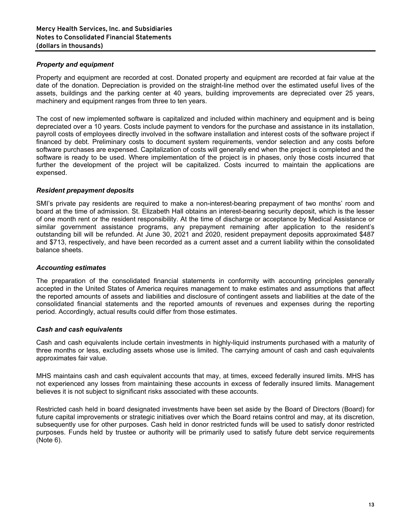#### *Property and equipment*

Property and equipment are recorded at cost. Donated property and equipment are recorded at fair value at the date of the donation. Depreciation is provided on the straight-line method over the estimated useful lives of the assets, buildings and the parking center at 40 years, building improvements are depreciated over 25 years, machinery and equipment ranges from three to ten years.

The cost of new implemented software is capitalized and included within machinery and equipment and is being depreciated over a 10 years. Costs include payment to vendors for the purchase and assistance in its installation, payroll costs of employees directly involved in the software installation and interest costs of the software project if financed by debt. Preliminary costs to document system requirements, vendor selection and any costs before software purchases are expensed. Capitalization of costs will generally end when the project is completed and the software is ready to be used. Where implementation of the project is in phases, only those costs incurred that further the development of the project will be capitalized. Costs incurred to maintain the applications are expensed.

#### *Resident prepayment deposits*

SMI's private pay residents are required to make a non-interest-bearing prepayment of two months' room and board at the time of admission. St. Elizabeth Hall obtains an interest-bearing security deposit, which is the lesser of one month rent or the resident responsibility. At the time of discharge or acceptance by Medical Assistance or similar government assistance programs, any prepayment remaining after application to the resident's outstanding bill will be refunded. At June 30, 2021 and 2020, resident prepayment deposits approximated \$487 and \$713, respectively, and have been recorded as a current asset and a current liability within the consolidated balance sheets.

#### *Accounting estimates*

The preparation of the consolidated financial statements in conformity with accounting principles generally accepted in the United States of America requires management to make estimates and assumptions that affect the reported amounts of assets and liabilities and disclosure of contingent assets and liabilities at the date of the consolidated financial statements and the reported amounts of revenues and expenses during the reporting period. Accordingly, actual results could differ from those estimates.

#### *Cash and cash equivalents*

Cash and cash equivalents include certain investments in highly-liquid instruments purchased with a maturity of three months or less, excluding assets whose use is limited. The carrying amount of cash and cash equivalents approximates fair value.

MHS maintains cash and cash equivalent accounts that may, at times, exceed federally insured limits. MHS has not experienced any losses from maintaining these accounts in excess of federally insured limits. Management believes it is not subject to significant risks associated with these accounts.

Restricted cash held in board designated investments have been set aside by the Board of Directors (Board) for future capital improvements or strategic initiatives over which the Board retains control and may, at its discretion, subsequently use for other purposes. Cash held in donor restricted funds will be used to satisfy donor restricted purposes. Funds held by trustee or authority will be primarily used to satisfy future debt service requirements (Note 6).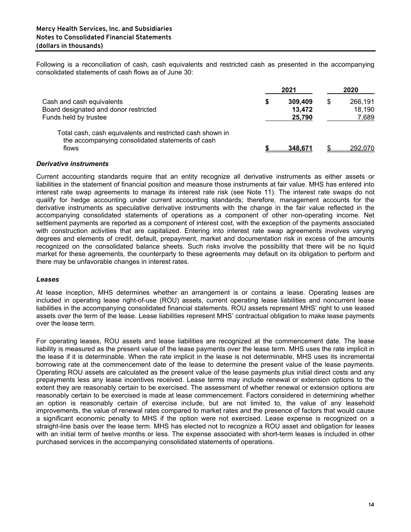Following is a reconciliation of cash, cash equivalents and restricted cash as presented in the accompanying consolidated statements of cash flows as of June 30:

|                                                                                                                        |   | 2021                        | 2020 |                            |  |
|------------------------------------------------------------------------------------------------------------------------|---|-----------------------------|------|----------------------------|--|
| Cash and cash equivalents<br>Board designated and donor restricted<br>Funds held by trustee                            | S | 309,409<br>13,472<br>25,790 | S    | 266,191<br>18,190<br>7,689 |  |
| Total cash, cash equivalents and restricted cash shown in<br>the accompanying consolidated statements of cash<br>flows |   | 348.671                     |      | 292.070                    |  |

#### *Derivative instruments*

Current accounting standards require that an entity recognize all derivative instruments as either assets or liabilities in the statement of financial position and measure those instruments at fair value. MHS has entered into interest rate swap agreements to manage its interest rate risk (see Note 11). The interest rate swaps do not qualify for hedge accounting under current accounting standards; therefore, management accounts for the derivative instruments as speculative derivative instruments with the change in the fair value reflected in the accompanying consolidated statements of operations as a component of other non-operating income. Net settlement payments are reported as a component of interest cost, with the exception of the payments associated with construction activities that are capitalized. Entering into interest rate swap agreements involves varying degrees and elements of credit, default, prepayment, market and documentation risk in excess of the amounts recognized on the consolidated balance sheets. Such risks involve the possibility that there will be no liquid market for these agreements, the counterparty to these agreements may default on its obligation to perform and there may be unfavorable changes in interest rates.

#### *Leases*

At lease inception, MHS determines whether an arrangement is or contains a lease. Operating leases are included in operating lease right-of-use (ROU) assets, current operating lease liabilities and noncurrent lease liabilities in the accompanying consolidated financial statements. ROU assets represent MHS' right to use leased assets over the term of the lease. Lease liabilities represent MHS' contractual obligation to make lease payments over the lease term.

For operating leases, ROU assets and lease liabilities are recognized at the commencement date. The lease liability is measured as the present value of the lease payments over the lease term. MHS uses the rate implicit in the lease if it is determinable. When the rate implicit in the lease is not determinable, MHS uses its incremental borrowing rate at the commencement date of the lease to determine the present value of the lease payments. Operating ROU assets are calculated as the present value of the lease payments plus initial direct costs and any prepayments less any lease incentives received. Lease terms may include renewal or extension options to the extent they are reasonably certain to be exercised. The assessment of whether renewal or extension options are reasonably certain to be exercised is made at lease commencement. Factors considered in determining whether an option is reasonably certain of exercise include, but are not limited to, the value of any leasehold improvements, the value of renewal rates compared to market rates and the presence of factors that would cause a significant economic penalty to MHS if the option were not exercised. Lease expense is recognized on a straight-line basis over the lease term. MHS has elected not to recognize a ROU asset and obligation for leases with an initial term of twelve months or less. The expense associated with short-term leases is included in other purchased services in the accompanying consolidated statements of operations.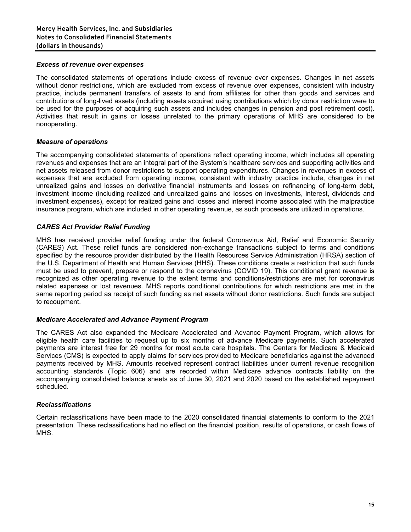#### *Excess of revenue over expenses*

The consolidated statements of operations include excess of revenue over expenses. Changes in net assets without donor restrictions, which are excluded from excess of revenue over expenses, consistent with industry practice, include permanent transfers of assets to and from affiliates for other than goods and services and contributions of long-lived assets (including assets acquired using contributions which by donor restriction were to be used for the purposes of acquiring such assets and includes changes in pension and post retirement cost). Activities that result in gains or losses unrelated to the primary operations of MHS are considered to be nonoperating.

#### *Measure of operations*

The accompanying consolidated statements of operations reflect operating income, which includes all operating revenues and expenses that are an integral part of the System's healthcare services and supporting activities and net assets released from donor restrictions to support operating expenditures. Changes in revenues in excess of expenses that are excluded from operating income, consistent with industry practice include, changes in net unrealized gains and losses on derivative financial instruments and losses on refinancing of long-term debt, investment income (including realized and unrealized gains and losses on investments, interest, dividends and investment expenses), except for realized gains and losses and interest income associated with the malpractice insurance program, which are included in other operating revenue, as such proceeds are utilized in operations.

#### *CARES Act Provider Relief Funding*

MHS has received provider relief funding under the federal Coronavirus Aid, Relief and Economic Security (CARES) Act. These relief funds are considered non-exchange transactions subject to terms and conditions specified by the resource provider distributed by the Health Resources Service Administration (HRSA) section of the U.S. Department of Health and Human Services (HHS). These conditions create a restriction that such funds must be used to prevent, prepare or respond to the coronavirus (COVID 19). This conditional grant revenue is recognized as other operating revenue to the extent terms and conditions/restrictions are met for coronavirus related expenses or lost revenues. MHS reports conditional contributions for which restrictions are met in the same reporting period as receipt of such funding as net assets without donor restrictions. Such funds are subject to recoupment.

#### *Medicare Accelerated and Advance Payment Program*

The CARES Act also expanded the Medicare Accelerated and Advance Payment Program, which allows for eligible health care facilities to request up to six months of advance Medicare payments. Such accelerated payments are interest free for 29 months for most acute care hospitals. The Centers for Medicare & Medicaid Services (CMS) is expected to apply claims for services provided to Medicare beneficiaries against the advanced payments received by MHS. Amounts received represent contract liabilities under current revenue recognition accounting standards (Topic 606) and are recorded within Medicare advance contracts liability on the accompanying consolidated balance sheets as of June 30, 2021 and 2020 based on the established repayment scheduled.

#### *Reclassifications*

Certain reclassifications have been made to the 2020 consolidated financial statements to conform to the 2021 presentation. These reclassifications had no effect on the financial position, results of operations, or cash flows of MHS.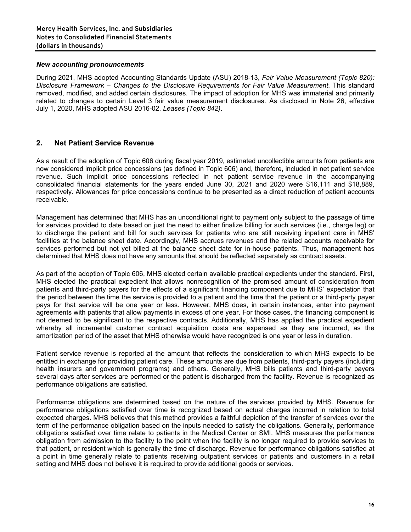#### *New accounting pronouncements*

During 2021, MHS adopted Accounting Standards Update (ASU) 2018-13, *Fair Value Measurement (Topic 820): Disclosure Framework – Changes to the Disclosure Requirements for Fair Value Measurement*. This standard removed, modified, and added certain disclosures. The impact of adoption for MHS was immaterial and primarily related to changes to certain Level 3 fair value measurement disclosures. As disclosed in Note 26, effective July 1, 2020, MHS adopted ASU 2016-02, *Leases (Topic 842)*.

#### **2. Net Patient Service Revenue**

As a result of the adoption of Topic 606 during fiscal year 2019, estimated uncollectible amounts from patients are now considered implicit price concessions (as defined in Topic 606) and, therefore, included in net patient service revenue. Such implicit price concessions reflected in net patient service revenue in the accompanying consolidated financial statements for the years ended June 30, 2021 and 2020 were \$16,111 and \$18,889, respectively. Allowances for price concessions continue to be presented as a direct reduction of patient accounts receivable.

Management has determined that MHS has an unconditional right to payment only subject to the passage of time for services provided to date based on just the need to either finalize billing for such services (i.e., charge lag) or to discharge the patient and bill for such services for patients who are still receiving inpatient care in MHS' facilities at the balance sheet date. Accordingly, MHS accrues revenues and the related accounts receivable for services performed but not yet billed at the balance sheet date for in-house patients. Thus, management has determined that MHS does not have any amounts that should be reflected separately as contract assets.

As part of the adoption of Topic 606, MHS elected certain available practical expedients under the standard. First, MHS elected the practical expedient that allows nonrecognition of the promised amount of consideration from patients and third-party payers for the effects of a significant financing component due to MHS' expectation that the period between the time the service is provided to a patient and the time that the patient or a third-party payer pays for that service will be one year or less. However, MHS does, in certain instances, enter into payment agreements with patients that allow payments in excess of one year. For those cases, the financing component is not deemed to be significant to the respective contracts. Additionally, MHS has applied the practical expedient whereby all incremental customer contract acquisition costs are expensed as they are incurred, as the amortization period of the asset that MHS otherwise would have recognized is one year or less in duration.

Patient service revenue is reported at the amount that reflects the consideration to which MHS expects to be entitled in exchange for providing patient care. These amounts are due from patients, third-party payers (including health insurers and government programs) and others. Generally, MHS bills patients and third-party payers several days after services are performed or the patient is discharged from the facility. Revenue is recognized as performance obligations are satisfied.

Performance obligations are determined based on the nature of the services provided by MHS. Revenue for performance obligations satisfied over time is recognized based on actual charges incurred in relation to total expected charges. MHS believes that this method provides a faithful depiction of the transfer of services over the term of the performance obligation based on the inputs needed to satisfy the obligations. Generally, performance obligations satisfied over time relate to patients in the Medical Center or SMI. MHS measures the performance obligation from admission to the facility to the point when the facility is no longer required to provide services to that patient, or resident which is generally the time of discharge. Revenue for performance obligations satisfied at a point in time generally relate to patients receiving outpatient services or patients and customers in a retail setting and MHS does not believe it is required to provide additional goods or services.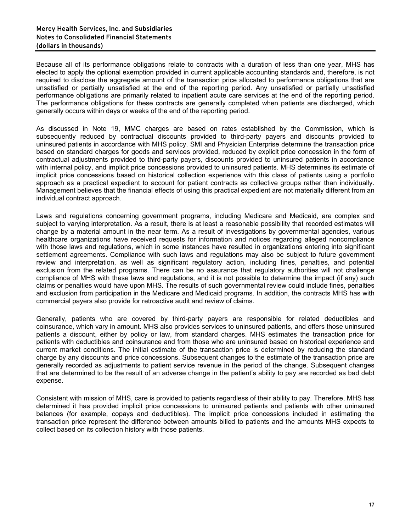Because all of its performance obligations relate to contracts with a duration of less than one year, MHS has elected to apply the optional exemption provided in current applicable accounting standards and, therefore, is not required to disclose the aggregate amount of the transaction price allocated to performance obligations that are unsatisfied or partially unsatisfied at the end of the reporting period. Any unsatisfied or partially unsatisfied performance obligations are primarily related to inpatient acute care services at the end of the reporting period. The performance obligations for these contracts are generally completed when patients are discharged, which generally occurs within days or weeks of the end of the reporting period.

As discussed in Note 19, MMC charges are based on rates established by the Commission, which is subsequently reduced by contractual discounts provided to third-party payers and discounts provided to uninsured patients in accordance with MHS policy. SMI and Physician Enterprise determine the transaction price based on standard charges for goods and services provided, reduced by explicit price concession in the form of contractual adjustments provided to third-party payers, discounts provided to uninsured patients in accordance with internal policy, and implicit price concessions provided to uninsured patients. MHS determines its estimate of implicit price concessions based on historical collection experience with this class of patients using a portfolio approach as a practical expedient to account for patient contracts as collective groups rather than individually. Management believes that the financial effects of using this practical expedient are not materially different from an individual contract approach.

Laws and regulations concerning government programs, including Medicare and Medicaid, are complex and subject to varying interpretation. As a result, there is at least a reasonable possibility that recorded estimates will change by a material amount in the near term. As a result of investigations by governmental agencies, various healthcare organizations have received requests for information and notices regarding alleged noncompliance with those laws and regulations, which in some instances have resulted in organizations entering into significant settlement agreements. Compliance with such laws and regulations may also be subject to future government review and interpretation, as well as significant regulatory action, including fines, penalties, and potential exclusion from the related programs. There can be no assurance that regulatory authorities will not challenge compliance of MHS with these laws and regulations, and it is not possible to determine the impact (if any) such claims or penalties would have upon MHS. The results of such governmental review could include fines, penalties and exclusion from participation in the Medicare and Medicaid programs. In addition, the contracts MHS has with commercial payers also provide for retroactive audit and review of claims.

Generally, patients who are covered by third-party payers are responsible for related deductibles and coinsurance, which vary in amount. MHS also provides services to uninsured patients, and offers those uninsured patients a discount, either by policy or law, from standard charges. MHS estimates the transaction price for patients with deductibles and coinsurance and from those who are uninsured based on historical experience and current market conditions. The initial estimate of the transaction price is determined by reducing the standard charge by any discounts and price concessions. Subsequent changes to the estimate of the transaction price are generally recorded as adjustments to patient service revenue in the period of the change. Subsequent changes that are determined to be the result of an adverse change in the patient's ability to pay are recorded as bad debt expense.

Consistent with mission of MHS, care is provided to patients regardless of their ability to pay. Therefore, MHS has determined it has provided implicit price concessions to uninsured patients and patients with other uninsured balances (for example, copays and deductibles). The implicit price concessions included in estimating the transaction price represent the difference between amounts billed to patients and the amounts MHS expects to collect based on its collection history with those patients.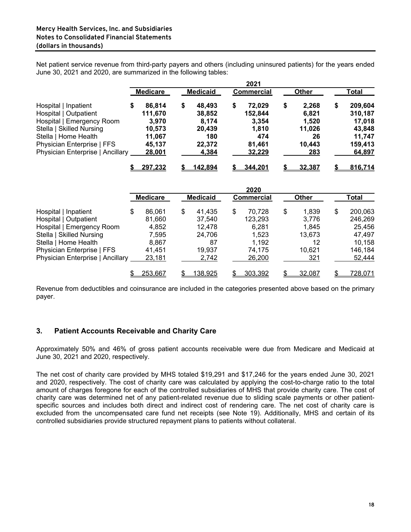Net patient service revenue from third-party payers and others (including uninsured patients) for the years ended June 30, 2021 and 2020, are summarized in the following tables:

|                                  |                 |                |                 |                |                   | 2021    |              |               |              |         |
|----------------------------------|-----------------|----------------|-----------------|----------------|-------------------|---------|--------------|---------------|--------------|---------|
|                                  | <b>Medicare</b> |                | <b>Medicaid</b> |                | <b>Commercial</b> |         | <b>Other</b> |               | <b>Total</b> |         |
| Hospital   Inpatient             |                 | 86.814         | \$              | 48.493         | S                 | 72.029  | \$           | 2,268         | \$           | 209,604 |
| Hospital   Outpatient            |                 | 111,670        |                 | 38,852         |                   | 152.844 |              | 6,821         |              | 310,187 |
| Hospital   Emergency Room        |                 | 3,970          |                 | 8.174          |                   | 3,354   |              | 1,520         |              | 17,018  |
| Stella   Skilled Nursing         |                 | 10,573         |                 | 20.439         |                   | 1,810   |              | 11,026        |              | 43,848  |
| Stella   Home Health             |                 | 11,067         |                 | 180            |                   | 474     |              | 26            |              | 11,747  |
| Physician Enterprise   FFS       |                 | 45,137         |                 | 22,372         |                   | 81.461  |              | 10,443        |              | 159,413 |
| Physician Enterprise   Ancillary |                 | 28,001         |                 | 4,384          |                   | 32,229  |              | 283           |              | 64,897  |
|                                  |                 | <u>297.232</u> | S               | <u>142.894</u> |                   | 344.201 |              | <u>32.387</u> |              | 816.714 |

|                                  |                 |         |                 |   | 2020              |    |              |    |         |
|----------------------------------|-----------------|---------|-----------------|---|-------------------|----|--------------|----|---------|
|                                  | <b>Medicare</b> |         | <b>Medicaid</b> |   | <b>Commercial</b> |    | <b>Other</b> |    | Total   |
| Hospital   Inpatient             | \$              | 86,061  | \$<br>41.435    | S | 70.728            | \$ | 1,839        | \$ | 200,063 |
| Hospital   Outpatient            |                 | 81,660  | 37.540          |   | 123,293           |    | 3.776        |    | 246,269 |
| Hospital   Emergency Room        |                 | 4,852   | 12.478          |   | 6,281             |    | 1,845        |    | 25,456  |
| Stella   Skilled Nursing         |                 | 7,595   | 24,706          |   | 1.523             |    | 13,673       |    | 47,497  |
| Stella   Home Health             |                 | 8,867   | 87              |   | 1.192             |    | 12           |    | 10.158  |
| Physician Enterprise   FFS       |                 | 41,451  | 19.937          |   | 74.175            |    | 10,621       |    | 146,184 |
| Physician Enterprise   Ancillary |                 | 23,181  | 2,742           |   | 26,200            |    | 321          |    | 52,444  |
|                                  |                 | 253.667 | \$<br>138.925   |   | 303,392           |    | 32,087       |    | 728,071 |

Revenue from deductibles and coinsurance are included in the categories presented above based on the primary payer.

#### **3. Patient Accounts Receivable and Charity Care**

Approximately 50% and 46% of gross patient accounts receivable were due from Medicare and Medicaid at June 30, 2021 and 2020, respectively.

The net cost of charity care provided by MHS totaled \$19,291 and \$17,246 for the years ended June 30, 2021 and 2020, respectively. The cost of charity care was calculated by applying the cost-to-charge ratio to the total amount of charges foregone for each of the controlled subsidiaries of MHS that provide charity care. The cost of charity care was determined net of any patient-related revenue due to sliding scale payments or other patientspecific sources and includes both direct and indirect cost of rendering care. The net cost of charity care is excluded from the uncompensated care fund net receipts (see Note 19). Additionally, MHS and certain of its controlled subsidiaries provide structured repayment plans to patients without collateral.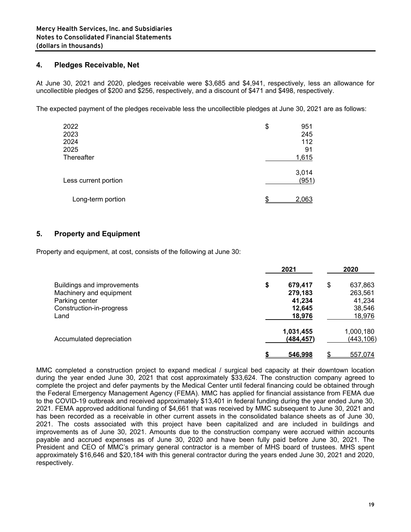#### **4. Pledges Receivable, Net**

At June 30, 2021 and 2020, pledges receivable were \$3,685 and \$4,941, respectively, less an allowance for uncollectible pledges of \$200 and \$256, respectively, and a discount of \$471 and \$498, respectively.

The expected payment of the pledges receivable less the uncollectible pledges at June 30, 2021 are as follows:

| 2022<br>2023<br>2024 | \$<br>951<br>245<br>112 |
|----------------------|-------------------------|
| 2025<br>Thereafter   | 91<br>1,615             |
| Less current portion | 3,014<br>(951)          |
| Long-term portion    | 2,063                   |

#### **5. Property and Equipment**

Property and equipment, at cost, consists of the following at June 30:

|                                                                                                             | 2021                                                   | 2020                                                   |  |  |
|-------------------------------------------------------------------------------------------------------------|--------------------------------------------------------|--------------------------------------------------------|--|--|
| Buildings and improvements<br>Machinery and equipment<br>Parking center<br>Construction-in-progress<br>Land | \$<br>679,417<br>279,183<br>41,234<br>12,645<br>18,976 | \$<br>637,863<br>263,561<br>41,234<br>38,546<br>18,976 |  |  |
| Accumulated depreciation                                                                                    | 1,031,455<br>(484, 457)<br><u>546.998</u>              | 1,000,180<br>(443, 106)<br>557,074                     |  |  |

MMC completed a construction project to expand medical / surgical bed capacity at their downtown location during the year ended June 30, 2021 that cost approximately \$33,624. The construction company agreed to complete the project and defer payments by the Medical Center until federal financing could be obtained through the Federal Emergency Management Agency (FEMA). MMC has applied for financial assistance from FEMA due to the COVID-19 outbreak and received approximately \$13,401 in federal funding during the year ended June 30, 2021. FEMA approved additional funding of \$4,661 that was received by MMC subsequent to June 30, 2021 and has been recorded as a receivable in other current assets in the consolidated balance sheets as of June 30, 2021. The costs associated with this project have been capitalized and are included in buildings and improvements as of June 30, 2021. Amounts due to the construction company were accrued within accounts payable and accrued expenses as of June 30, 2020 and have been fully paid before June 30, 2021. The President and CEO of MMC's primary general contractor is a member of MHS board of trustees. MHS spent approximately \$16,646 and \$20,184 with this general contractor during the years ended June 30, 2021 and 2020, respectively.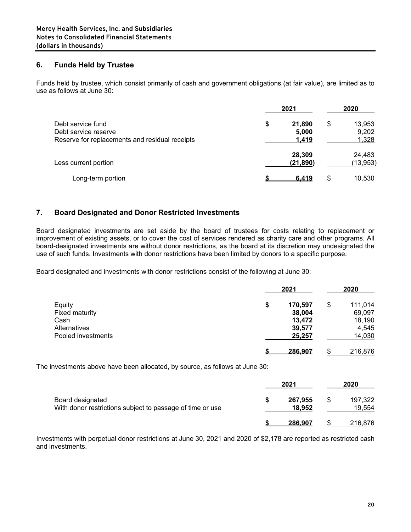#### **6. Funds Held by Trustee**

Funds held by trustee, which consist primarily of cash and government obligations (at fair value), are limited as to use as follows at June 30:

|                                                                                             |    | 2020                     |    |                          |
|---------------------------------------------------------------------------------------------|----|--------------------------|----|--------------------------|
| Debt service fund<br>Debt service reserve<br>Reserve for replacements and residual receipts | \$ | 21,890<br>5,000<br>1,419 | \$ | 13,953<br>9,202<br>1,328 |
| Less current portion                                                                        |    | 28,309<br>(21, 890)      |    | 24,483<br>(13, 953)      |
| Long-term portion                                                                           |    | 6.419                    |    | 10,530                   |

#### **7. Board Designated and Donor Restricted Investments**

Board designated investments are set aside by the board of trustees for costs relating to replacement or improvement of existing assets, or to cover the cost of services rendered as charity care and other programs. All board-designated investments are without donor restrictions, as the board at its discretion may undesignated the use of such funds. Investments with donor restrictions have been limited by donors to a specific purpose.

Board designated and investments with donor restrictions consist of the following at June 30:

|                    | 2021          |    |         |
|--------------------|---------------|----|---------|
| Equity             | \$<br>170,597 | \$ | 111,014 |
| Fixed maturity     | 38,004        |    | 69,097  |
| Cash               | 13,472        |    | 18,190  |
| Alternatives       | 39,577        |    | 4,545   |
| Pooled investments | 25,257        |    | 14,030  |
|                    | 286,907       | ጦ  | 216,876 |

The investments above have been allocated, by source, as follows at June 30:

|                                                                               | 2021              | 2020 |                   |  |
|-------------------------------------------------------------------------------|-------------------|------|-------------------|--|
| Board designated<br>With donor restrictions subject to passage of time or use | 267,955<br>18.952 | S    | 197,322<br>19,554 |  |
|                                                                               | 286.907           |      | <u> 216,876</u>   |  |

Investments with perpetual donor restrictions at June 30, 2021 and 2020 of \$2,178 are reported as restricted cash and investments.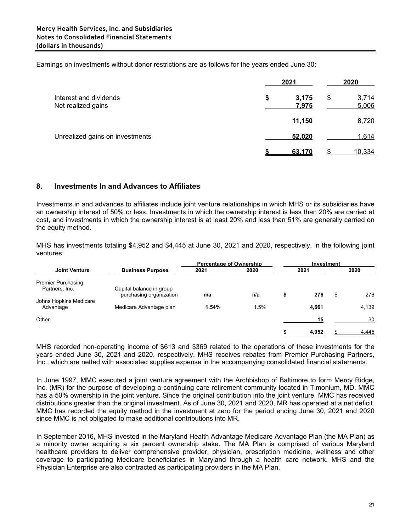Earnings on investments without donor restrictions are as follows for the years ended June 30:

|                                              | 2021                 | 2020                 |
|----------------------------------------------|----------------------|----------------------|
| Interest and dividends<br>Net realized gains | 3,175<br>\$<br>7,975 | 3,714<br>\$<br>5,006 |
|                                              | 11,150               | 8,720                |
| Unrealized gains on investments              | 52,020               | 1,614                |
|                                              | 63.170               | 10,334<br>ደ          |

#### **8. Investments In and Advances to Affiliates**

Investments in and advances to affiliates include joint venture relationships in which MHS or its subsidiaries have an ownership interest of 50% or less. Investments in which the ownership interest is less than 20% are carried at cost, and investments in which the ownership interest is at least 20% and less than 51% are generally carried on the equity method.

MHS has investments totaling \$4,952 and \$4,445 at June 30, 2021 and 2020, respectively, in the following joint ventures:

|                           | <b>Percentage of Ownership</b>                      |       |      | Investment |       |    |       |
|---------------------------|-----------------------------------------------------|-------|------|------------|-------|----|-------|
| <b>Joint Venture</b>      | <b>Business Purpose</b>                             | 2021  | 2020 |            | 2021  |    | 2020  |
| <b>Premier Purchasing</b> |                                                     |       |      |            |       |    |       |
| Partners, Inc.            | Capital balance in group<br>purchasing organization | n/a   | n/a  |            | 276   | \$ | 276   |
| Johns Hopkins Medicare    |                                                     |       |      |            |       |    |       |
| Advantage                 | Medicare Advantage plan                             | 1.54% | 1.5% |            | 4.661 |    | 4,139 |
| Other                     |                                                     |       |      |            | 15    |    | 30    |
|                           |                                                     |       |      |            | 4.952 |    | 4.445 |

MHS recorded non-operating income of \$613 and \$369 related to the operations of these investments for the years ended June 30, 2021 and 2020, respectively. MHS receives rebates from Premier Purchasing Partners, Inc., which are netted with associated supplies expense in the accompanying consolidated financial statements.

In June 1997, MMC executed a joint venture agreement with the Archbishop of Baltimore to form Mercy Ridge, Inc. (MR) for the purpose of developing a continuing care retirement community located in Timonium, MD. MMC has a 50% ownership in the joint venture. Since the original contribution into the joint venture, MMC has received distributions greater than the original investment. As of June 30, 2021 and 2020, MR has operated at a net deficit. MMC has recorded the equity method in the investment at zero for the period ending June 30, 2021 and 2020 since MMC is not obligated to make additional contributions into MR.

In September 2016, MHS invested in the Maryland Health Advantage Medicare Advantage Plan (the MA Plan) as a minority owner acquiring a six percent ownership stake. The MA Plan is comprised of various Maryland healthcare providers to deliver comprehensive provider, physician, prescription medicine, wellness and other coverage to participating Medicare beneficiaries in Maryland through a health care network. MHS and the Physician Enterprise are also contracted as participating providers in the MA Plan.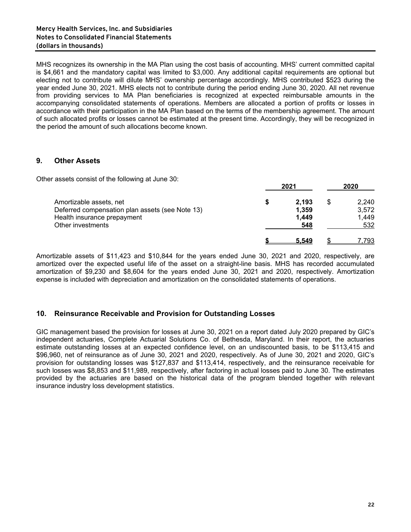MHS recognizes its ownership in the MA Plan using the cost basis of accounting. MHS' current committed capital is \$4,661 and the mandatory capital was limited to \$3,000. Any additional capital requirements are optional but electing not to contribute will dilute MHS' ownership percentage accordingly. MHS contributed \$523 during the year ended June 30, 2021. MHS elects not to contribute during the period ending June 30, 2020. All net revenue from providing services to MA Plan beneficiaries is recognized at expected reimbursable amounts in the accompanying consolidated statements of operations. Members are allocated a portion of profits or losses in accordance with their participation in the MA Plan based on the terms of the membership agreement. The amount of such allocated profits or losses cannot be estimated at the present time. Accordingly, they will be recognized in the period the amount of such allocations become known.

#### **9. Other Assets**

Other assets consist of the following at June 30:

|                                                 |                      |     | 2020  |
|-------------------------------------------------|----------------------|-----|-------|
| Amortizable assets, net                         | 2.193                | S   | 2,240 |
| Deferred compensation plan assets (see Note 13) | 1,359                |     | 3,572 |
| Health insurance prepayment                     | 1,449                |     | 1,449 |
| Other investments                               | 2021<br>548<br>5.549 | 532 |       |
|                                                 |                      |     | 7.793 |

Amortizable assets of \$11,423 and \$10,844 for the years ended June 30, 2021 and 2020, respectively, are amortized over the expected useful life of the asset on a straight-line basis. MHS has recorded accumulated amortization of \$9,230 and \$8,604 for the years ended June 30, 2021 and 2020, respectively. Amortization expense is included with depreciation and amortization on the consolidated statements of operations.

#### **10. Reinsurance Receivable and Provision for Outstanding Losses**

GIC management based the provision for losses at June 30, 2021 on a report dated July 2020 prepared by GIC's independent actuaries, Complete Actuarial Solutions Co. of Bethesda, Maryland. In their report, the actuaries estimate outstanding losses at an expected confidence level, on an undiscounted basis, to be \$113,415 and \$96,960, net of reinsurance as of June 30, 2021 and 2020, respectively. As of June 30, 2021 and 2020, GIC's provision for outstanding losses was \$127,837 and \$113,414, respectively, and the reinsurance receivable for such losses was \$8,853 and \$11,989, respectively, after factoring in actual losses paid to June 30. The estimates provided by the actuaries are based on the historical data of the program blended together with relevant insurance industry loss development statistics.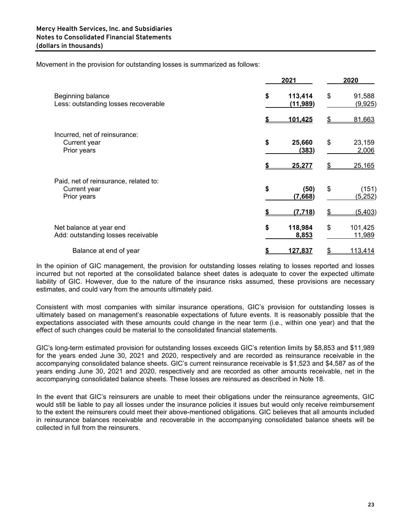Movement in the provision for outstanding losses is summarized as follows:

|                                                                      | 2021                      | 2020                    |
|----------------------------------------------------------------------|---------------------------|-------------------------|
| Beginning balance<br>Less: outstanding losses recoverable            | \$<br>113,414<br>(11,989) | \$<br>91,588<br>(9,925) |
|                                                                      | 101,425                   | 81,663<br>\$            |
| Incurred, net of reinsurance:<br>Current year<br>Prior years         | \$<br>25,660<br>(383)     | \$<br>23,159<br>2,006   |
|                                                                      | 25,277                    | 25,165                  |
| Paid, net of reinsurance, related to:<br>Current year<br>Prior years | \$<br>(50)<br>(7,668)     | \$<br>(151)<br>(5,252)  |
|                                                                      | (7.718)                   | (5, 403)<br>\$          |
| Net balance at year end<br>Add: outstanding losses receivable        | \$<br>118,984<br>8,853    | \$<br>101,425<br>11,989 |
| Balance at end of year                                               | <u>127,837</u>            | <u>\$</u><br>113,414    |

In the opinion of GIC management, the provision for outstanding losses relating to losses reported and losses incurred but not reported at the consolidated balance sheet dates is adequate to cover the expected ultimate liability of GIC. However, due to the nature of the insurance risks assumed, these provisions are necessary estimates, and could vary from the amounts ultimately paid.

Consistent with most companies with similar insurance operations, GIC's provision for outstanding losses is ultimately based on management's reasonable expectations of future events. It is reasonably possible that the expectations associated with these amounts could change in the near term (i.e., within one year) and that the effect of such changes could be material to the consolidated financial statements.

GIC's long-term estimated provision for outstanding losses exceeds GIC's retention limits by \$8,853 and \$11,989 for the years ended June 30, 2021 and 2020, respectively and are recorded as reinsurance receivable in the accompanying consolidated balance sheets. GIC's current reinsurance receivable is \$1,523 and \$4,587 as of the years ending June 30, 2021 and 2020, respectively and are recorded as other amounts receivable, net in the accompanying consolidated balance sheets. These losses are reinsured as described in Note 18.

In the event that GIC's reinsurers are unable to meet their obligations under the reinsurance agreements, GIC would still be liable to pay all losses under the insurance policies it issues but would only receive reimbursement to the extent the reinsurers could meet their above-mentioned obligations. GIC believes that all amounts included in reinsurance balances receivable and recoverable in the accompanying consolidated balance sheets will be collected in full from the reinsurers.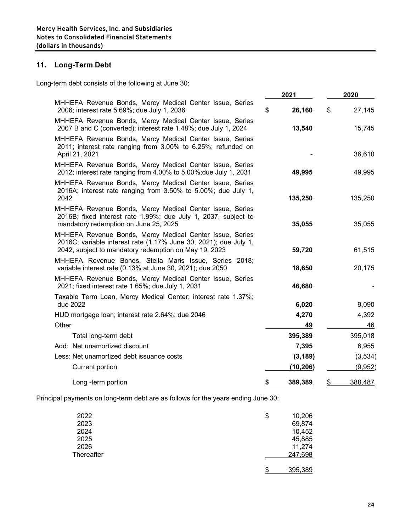#### **11. Long-Term Debt**

Long-term debt consists of the following at June 30:

|                                                                                                                                                                                       | 2021         | 2020           |
|---------------------------------------------------------------------------------------------------------------------------------------------------------------------------------------|--------------|----------------|
| MHHEFA Revenue Bonds, Mercy Medical Center Issue, Series<br>2006; interest rate 5.69%; due July 1, 2036                                                                               | 26,160<br>\$ | 27,145<br>\$   |
| MHHEFA Revenue Bonds, Mercy Medical Center Issue, Series<br>2007 B and C (converted); interest rate 1.48%; due July 1, 2024                                                           | 13,540       | 15,745         |
| MHHEFA Revenue Bonds, Mercy Medical Center Issue, Series<br>2011; interest rate ranging from 3.00% to 6.25%; refunded on<br>April 21, 2021                                            |              | 36,610         |
| MHHEFA Revenue Bonds, Mercy Medical Center Issue, Series<br>2012; interest rate ranging from 4.00% to 5.00%; due July 1, 2031                                                         | 49,995       | 49,995         |
| MHHEFA Revenue Bonds, Mercy Medical Center Issue, Series<br>2016A; interest rate ranging from 3.50% to 5.00%; due July 1,<br>2042                                                     | 135,250      | 135,250        |
| MHHEFA Revenue Bonds, Mercy Medical Center Issue, Series                                                                                                                              |              |                |
| 2016B; fixed interest rate 1.99%; due July 1, 2037, subject to<br>mandatory redemption on June 25, 2025                                                                               | 35,055       | 35,055         |
| MHHEFA Revenue Bonds, Mercy Medical Center Issue, Series<br>2016C; variable interest rate (1.17% June 30, 2021); due July 1,<br>2042, subject to mandatory redemption on May 19, 2023 | 59,720       | 61,515         |
| MHHEFA Revenue Bonds, Stella Maris Issue, Series 2018;<br>variable interest rate (0.13% at June 30, 2021); due 2050                                                                   | 18,650       | 20,175         |
| MHHEFA Revenue Bonds, Mercy Medical Center Issue, Series<br>2021; fixed interest rate 1.65%; due July 1, 2031                                                                         | 46,680       |                |
| Taxable Term Loan, Mercy Medical Center; interest rate 1.37%;                                                                                                                         |              |                |
| due 2022                                                                                                                                                                              | 6,020        | 9,090<br>4,392 |
| HUD mortgage loan; interest rate 2.64%; due 2046<br>Other                                                                                                                             | 4,270<br>49  | 46             |
| Total long-term debt                                                                                                                                                                  | 395,389      | 395,018        |
| Add: Net unamortized discount                                                                                                                                                         | 7,395        | 6,955          |
| Less: Net unamortized debt issuance costs                                                                                                                                             | (3, 189)     | (3,534)        |
| Current portion                                                                                                                                                                       | (10, 206)    | (9,952)        |
| Long -term portion                                                                                                                                                                    | 389,389      | \$<br>388,487  |

Principal payments on long-term debt are as follows for the years ending June 30:

| 2022       | 10,206<br>\$ |
|------------|--------------|
| 2023       | 69,874       |
| 2024       | 10,452       |
| 2025       | 45,885       |
| 2026       | 11,274       |
| Thereafter | 247,698      |
|            |              |
|            | 395,389<br>σ |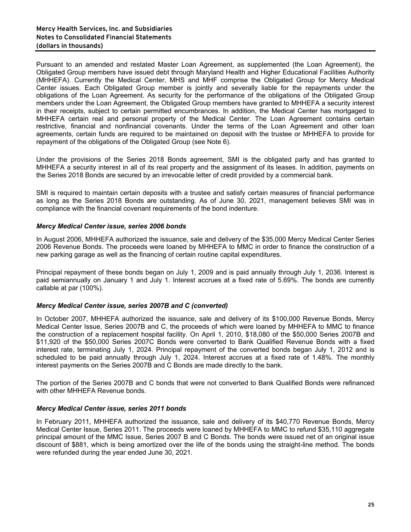Pursuant to an amended and restated Master Loan Agreement, as supplemented (the Loan Agreement), the Obligated Group members have issued debt through Maryland Health and Higher Educational Facilities Authority (MHHEFA). Currently the Medical Center, MHS and MHF comprise the Obligated Group for Mercy Medical Center issues. Each Obligated Group member is jointly and severally liable for the repayments under the obligations of the Loan Agreement. As security for the performance of the obligations of the Obligated Group members under the Loan Agreement, the Obligated Group members have granted to MHHEFA a security interest in their receipts, subject to certain permitted encumbrances. In addition, the Medical Center has mortgaged to MHHEFA certain real and personal property of the Medical Center. The Loan Agreement contains certain restrictive, financial and nonfinancial covenants. Under the terms of the Loan Agreement and other loan agreements, certain funds are required to be maintained on deposit with the trustee or MHHEFA to provide for repayment of the obligations of the Obligated Group (see Note 6).

Under the provisions of the Series 2018 Bonds agreement, SMI is the obligated party and has granted to MHHEFA a security interest in all of its real property and the assignment of its leases. In addition, payments on the Series 2018 Bonds are secured by an irrevocable letter of credit provided by a commercial bank.

SMI is required to maintain certain deposits with a trustee and satisfy certain measures of financial performance as long as the Series 2018 Bonds are outstanding. As of June 30, 2021, management believes SMI was in compliance with the financial covenant requirements of the bond indenture.

#### *Mercy Medical Center issue, series 2006 bonds*

In August 2006, MHHEFA authorized the issuance, sale and delivery of the \$35,000 Mercy Medical Center Series 2006 Revenue Bonds. The proceeds were loaned by MHHEFA to MMC in order to finance the construction of a new parking garage as well as the financing of certain routine capital expenditures.

Principal repayment of these bonds began on July 1, 2009 and is paid annually through July 1, 2036. Interest is paid semiannually on January 1 and July 1. Interest accrues at a fixed rate of 5.69%. The bonds are currently callable at par (100%).

#### *Mercy Medical Center issue, series 2007B and C (converted)*

In October 2007, MHHEFA authorized the issuance, sale and delivery of its \$100,000 Revenue Bonds, Mercy Medical Center Issue, Series 2007B and C, the proceeds of which were loaned by MHHEFA to MMC to finance the construction of a replacement hospital facility. On April 1, 2010, \$18,080 of the \$50,000 Series 2007B and \$11,920 of the \$50,000 Series 2007C Bonds were converted to Bank Qualified Revenue Bonds with a fixed interest rate, terminating July 1, 2024. Principal repayment of the converted bonds began July 1, 2012 and is scheduled to be paid annually through July 1, 2024. Interest accrues at a fixed rate of 1.48%. The monthly interest payments on the Series 2007B and C Bonds are made directly to the bank.

The portion of the Series 2007B and C bonds that were not converted to Bank Qualified Bonds were refinanced with other MHHEFA Revenue bonds.

#### *Mercy Medical Center issue, series 2011 bonds*

In February 2011, MHHEFA authorized the issuance, sale and delivery of its \$40,770 Revenue Bonds, Mercy Medical Center Issue, Series 2011. The proceeds were loaned by MHHEFA to MMC to refund \$35,110 aggregate principal amount of the MMC Issue, Series 2007 B and C Bonds. The bonds were issued net of an original issue discount of \$881, which is being amortized over the life of the bonds using the straight-line method. The bonds were refunded during the year ended June 30, 2021.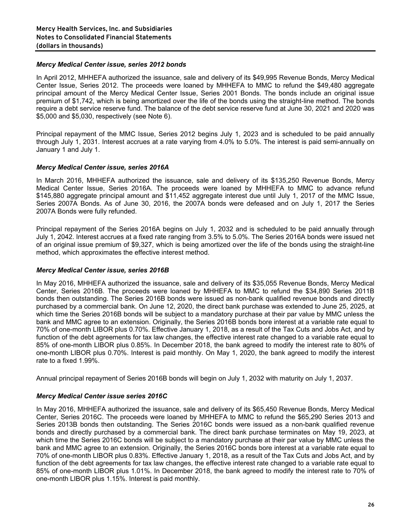#### *Mercy Medical Center issue, series 2012 bonds*

In April 2012, MHHEFA authorized the issuance, sale and delivery of its \$49,995 Revenue Bonds, Mercy Medical Center Issue, Series 2012. The proceeds were loaned by MHHEFA to MMC to refund the \$49,480 aggregate principal amount of the Mercy Medical Center Issue, Series 2001 Bonds. The bonds include an original issue premium of \$1,742, which is being amortized over the life of the bonds using the straight-line method. The bonds require a debt service reserve fund. The balance of the debt service reserve fund at June 30, 2021 and 2020 was \$5,000 and \$5,030, respectively (see Note 6).

Principal repayment of the MMC Issue, Series 2012 begins July 1, 2023 and is scheduled to be paid annually through July 1, 2031. Interest accrues at a rate varying from 4.0% to 5.0%. The interest is paid semi-annually on January 1 and July 1.

#### *Mercy Medical Center issue, series 2016A*

In March 2016, MHHEFA authorized the issuance, sale and delivery of its \$135,250 Revenue Bonds, Mercy Medical Center Issue, Series 2016A. The proceeds were loaned by MHHEFA to MMC to advance refund \$145,880 aggregate principal amount and \$11,452 aggregate interest due until July 1, 2017 of the MMC Issue, Series 2007A Bonds. As of June 30, 2016, the 2007A bonds were defeased and on July 1, 2017 the Series 2007A Bonds were fully refunded.

Principal repayment of the Series 2016A begins on July 1, 2032 and is scheduled to be paid annually through July 1, 2042. Interest accrues at a fixed rate ranging from 3.5% to 5.0%. The Series 2016A bonds were issued net of an original issue premium of \$9,327, which is being amortized over the life of the bonds using the straight-line method, which approximates the effective interest method.

#### *Mercy Medical Center issue, series 2016B*

In May 2016, MHHEFA authorized the issuance, sale and delivery of its \$35,055 Revenue Bonds, Mercy Medical Center, Series 2016B. The proceeds were loaned by MHHEFA to MMC to refund the \$34,890 Series 2011B bonds then outstanding. The Series 2016B bonds were issued as non-bank qualified revenue bonds and directly purchased by a commercial bank. On June 12, 2020, the direct bank purchase was extended to June 25, 2025, at which time the Series 2016B bonds will be subject to a mandatory purchase at their par value by MMC unless the bank and MMC agree to an extension. Originally, the Series 2016B bonds bore interest at a variable rate equal to 70% of one-month LIBOR plus 0.70%. Effective January 1, 2018, as a result of the Tax Cuts and Jobs Act, and by function of the debt agreements for tax law changes, the effective interest rate changed to a variable rate equal to 85% of one-month LIBOR plus 0.85%. In December 2018, the bank agreed to modify the interest rate to 80% of one-month LIBOR plus 0.70%. Interest is paid monthly. On May 1, 2020, the bank agreed to modify the interest rate to a fixed 1.99%.

Annual principal repayment of Series 2016B bonds will begin on July 1, 2032 with maturity on July 1, 2037.

#### *Mercy Medical Center issue series 2016C*

In May 2016, MHHEFA authorized the issuance, sale and delivery of its \$65,450 Revenue Bonds, Mercy Medical Center, Series 2016C. The proceeds were loaned by MHHEFA to MMC to refund the \$65,290 Series 2013 and Series 2013B bonds then outstanding. The Series 2016C bonds were issued as a non-bank qualified revenue bonds and directly purchased by a commercial bank. The direct bank purchase terminates on May 19, 2023, at which time the Series 2016C bonds will be subject to a mandatory purchase at their par value by MMC unless the bank and MMC agree to an extension. Originally, the Series 2016C bonds bore interest at a variable rate equal to 70% of one-month LIBOR plus 0.83%. Effective January 1, 2018, as a result of the Tax Cuts and Jobs Act, and by function of the debt agreements for tax law changes, the effective interest rate changed to a variable rate equal to 85% of one-month LIBOR plus 1.01%. In December 2018, the bank agreed to modify the interest rate to 70% of one-month LIBOR plus 1.15%. Interest is paid monthly.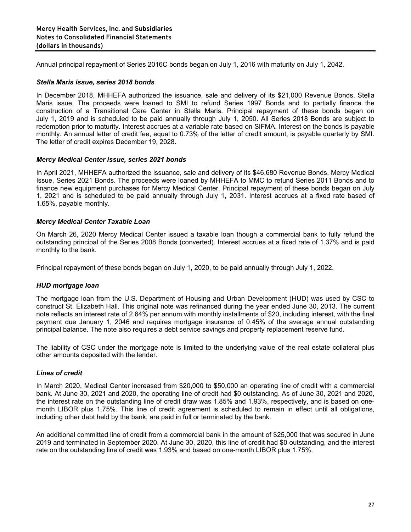Annual principal repayment of Series 2016C bonds began on July 1, 2016 with maturity on July 1, 2042.

#### *Stella Maris issue, series 2018 bonds*

In December 2018, MHHEFA authorized the issuance, sale and delivery of its \$21,000 Revenue Bonds, Stella Maris issue. The proceeds were loaned to SMI to refund Series 1997 Bonds and to partially finance the construction of a Transitional Care Center in Stella Maris. Principal repayment of these bonds began on July 1, 2019 and is scheduled to be paid annually through July 1, 2050. All Series 2018 Bonds are subject to redemption prior to maturity. Interest accrues at a variable rate based on SIFMA. Interest on the bonds is payable monthly. An annual letter of credit fee, equal to 0.73% of the letter of credit amount, is payable quarterly by SMI. The letter of credit expires December 19, 2028.

#### *Mercy Medical Center issue, series 2021 bonds*

In April 2021, MHHEFA authorized the issuance, sale and delivery of its \$46,680 Revenue Bonds, Mercy Medical Issue, Series 2021 Bonds. The proceeds were loaned by MHHEFA to MMC to refund Series 2011 Bonds and to finance new equipment purchases for Mercy Medical Center. Principal repayment of these bonds began on July 1, 2021 and is scheduled to be paid annually through July 1, 2031. Interest accrues at a fixed rate based of 1.65%, payable monthly.

#### *Mercy Medical Center Taxable Loan*

On March 26, 2020 Mercy Medical Center issued a taxable loan though a commercial bank to fully refund the outstanding principal of the Series 2008 Bonds (converted). Interest accrues at a fixed rate of 1.37% and is paid monthly to the bank.

Principal repayment of these bonds began on July 1, 2020, to be paid annually through July 1, 2022.

#### *HUD mortgage loan*

The mortgage loan from the U.S. Department of Housing and Urban Development (HUD) was used by CSC to construct St. Elizabeth Hall. This original note was refinanced during the year ended June 30, 2013. The current note reflects an interest rate of 2.64% per annum with monthly installments of \$20, including interest, with the final payment due January 1, 2046 and requires mortgage insurance of 0.45% of the average annual outstanding principal balance. The note also requires a debt service savings and property replacement reserve fund.

The liability of CSC under the mortgage note is limited to the underlying value of the real estate collateral plus other amounts deposited with the lender.

#### *Lines of credit*

In March 2020, Medical Center increased from \$20,000 to \$50,000 an operating line of credit with a commercial bank. At June 30, 2021 and 2020, the operating line of credit had \$0 outstanding. As of June 30, 2021 and 2020, the interest rate on the outstanding line of credit draw was 1.85% and 1.93%, respectively, and is based on onemonth LIBOR plus 1.75%. This line of credit agreement is scheduled to remain in effect until all obligations, including other debt held by the bank, are paid in full or terminated by the bank.

An additional committed line of credit from a commercial bank in the amount of \$25,000 that was secured in June 2019 and terminated in September 2020. At June 30, 2020, this line of credit had \$0 outstanding, and the interest rate on the outstanding line of credit was 1.93% and based on one-month LIBOR plus 1.75%.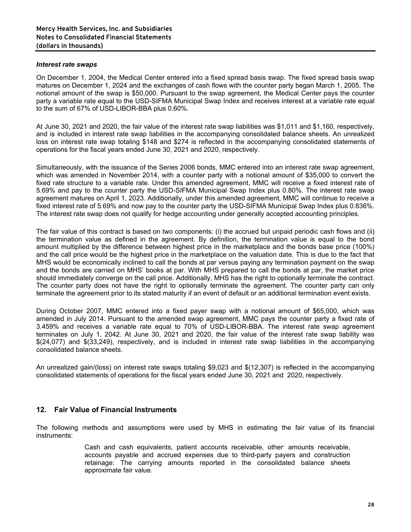#### *Interest rate swaps*

On December 1, 2004, the Medical Center entered into a fixed spread basis swap. The fixed spread basis swap matures on December 1, 2024 and the exchanges of cash flows with the counter party began March 1, 2005. The notional amount of the swap is \$50,000. Pursuant to the swap agreement, the Medical Center pays the counter party a variable rate equal to the USD-SIFMA Municipal Swap Index and receives interest at a variable rate equal to the sum of 67% of USD-LIBOR-BBA plus 0.60%.

At June 30, 2021 and 2020, the fair value of the interest rate swap liabilities was \$1,011 and \$1,160, respectively, and is included in interest rate swap liabilities in the accompanying consolidated balance sheets. An unrealized loss on interest rate swap totaling \$148 and \$274 is reflected in the accompanying consolidated statements of operations for the fiscal years ended June 30, 2021 and 2020, respectively.

Simultaneously, with the issuance of the Series 2006 bonds, MMC entered into an interest rate swap agreement, which was amended in November 2014, with a counter party with a notional amount of \$35,000 to convert the fixed rate structure to a variable rate. Under this amended agreement, MMC will receive a fixed interest rate of 5.69% and pay to the counter party the USD-SIFMA Municipal Swap Index plus 0.80%. The interest rate swap agreement matures on April 1, 2023. Additionally, under this amended agreement, MMC will continue to receive a fixed interest rate of 5.69% and now pay to the counter party the USD-SIFMA Municipal Swap Index plus 0.836%. The interest rate swap does not qualify for hedge accounting under generally accepted accounting principles.

The fair value of this contract is based on two components: (i) the accrued but unpaid periodic cash flows and (ii) the termination value as defined in the agreement. By definition, the termination value is equal to the bond amount multiplied by the difference between highest price in the marketplace and the bonds base price (100%) and the call price would be the highest price in the marketplace on the valuation date. This is due to the fact that MHS would be economically inclined to call the bonds at par versus paying any termination payment on the swap and the bonds are carried on MHS' books at par. With MHS prepared to call the bonds at par, the market price should immediately converge on the call price. Additionally, MHS has the right to optionally terminate the contract. The counter party does not have the right to optionally terminate the agreement. The counter party can only terminate the agreement prior to its stated maturity if an event of default or an additional termination event exists.

During October 2007, MMC entered into a fixed payer swap with a notional amount of \$65,000, which was amended in July 2014. Pursuant to the amended swap agreement, MMC pays the counter party a fixed rate of 3.459% and receives a variable rate equal to 70% of USD-LIBOR-BBA. The interest rate swap agreement terminates on July 1, 2042. At June 30, 2021 and 2020, the fair value of the interest rate swap liability was \$(24,077) and \$(33,249), respectively, and is included in interest rate swap liabilities in the accompanying consolidated balance sheets.

An unrealized gain/(loss) on interest rate swaps totaling \$9,023 and \$(12,307) is reflected in the accompanying consolidated statements of operations for the fiscal years ended June 30, 2021 and 2020, respectively.

#### **12. Fair Value of Financial Instruments**

The following methods and assumptions were used by MHS in estimating the fair value of its financial instruments:

> Cash and cash equivalents, patient accounts receivable, other- amounts receivable, accounts payable and accrued expenses due to third-party payers and construction retainage: The carrying amounts reported in the consolidated balance sheets approximate fair value.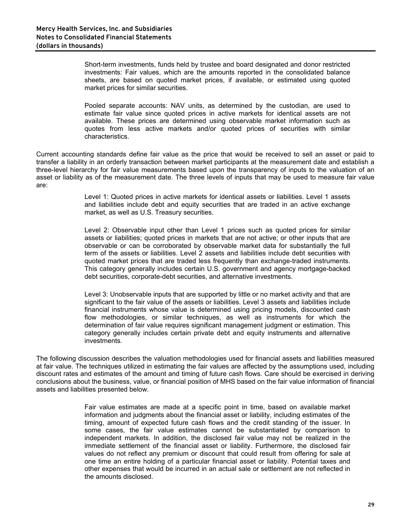Short-term investments, funds held by trustee and board designated and donor restricted investments: Fair values, which are the amounts reported in the consolidated balance sheets, are based on quoted market prices, if available, or estimated using quoted market prices for similar securities.

Pooled separate accounts: NAV units, as determined by the custodian, are used to estimate fair value since quoted prices in active markets for identical assets are not available. These prices are determined using observable market information such as quotes from less active markets and/or quoted prices of securities with similar characteristics.

Current accounting standards define fair value as the price that would be received to sell an asset or paid to transfer a liability in an orderly transaction between market participants at the measurement date and establish a three-level hierarchy for fair value measurements based upon the transparency of inputs to the valuation of an asset or liability as of the measurement date. The three levels of inputs that may be used to measure fair value are:

> Level 1: Quoted prices in active markets for identical assets or liabilities. Level 1 assets and liabilities include debt and equity securities that are traded in an active exchange market, as well as U.S. Treasury securities.

> Level 2: Observable input other than Level 1 prices such as quoted prices for similar assets or liabilities; quoted prices in markets that are not active; or other inputs that are observable or can be corroborated by observable market data for substantially the full term of the assets or liabilities. Level 2 assets and liabilities include debt securities with quoted market prices that are traded less frequently than exchange-traded instruments. This category generally includes certain U.S. government and agency mortgage-backed debt securities, corporate-debt securities, and alternative investments.

> Level 3: Unobservable inputs that are supported by little or no market activity and that are significant to the fair value of the assets or liabilities. Level 3 assets and liabilities include financial instruments whose value is determined using pricing models, discounted cash flow methodologies, or similar techniques, as well as instruments for which the determination of fair value requires significant management judgment or estimation. This category generally includes certain private debt and equity instruments and alternative investments.

The following discussion describes the valuation methodologies used for financial assets and liabilities measured at fair value. The techniques utilized in estimating the fair values are affected by the assumptions used, including discount rates and estimates of the amount and timing of future cash flows. Care should be exercised in deriving conclusions about the business, value, or financial position of MHS based on the fair value information of financial assets and liabilities presented below.

> Fair value estimates are made at a specific point in time, based on available market information and judgments about the financial asset or liability, including estimates of the timing, amount of expected future cash flows and the credit standing of the issuer. In some cases, the fair value estimates cannot be substantiated by comparison to independent markets. In addition, the disclosed fair value may not be realized in the immediate settlement of the financial asset or liability. Furthermore, the disclosed fair values do not reflect any premium or discount that could result from offering for sale at one time an entire holding of a particular financial asset or liability. Potential taxes and other expenses that would be incurred in an actual sale or settlement are not reflected in the amounts disclosed.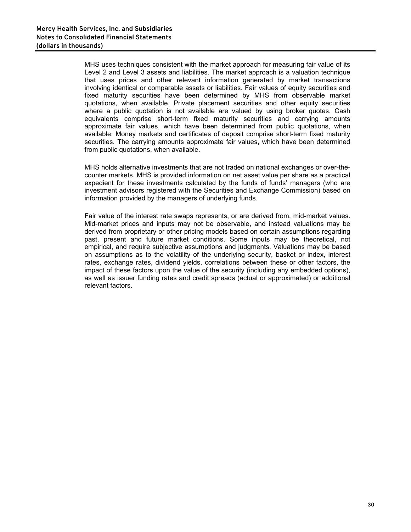MHS uses techniques consistent with the market approach for measuring fair value of its Level 2 and Level 3 assets and liabilities. The market approach is a valuation technique that uses prices and other relevant information generated by market transactions involving identical or comparable assets or liabilities. Fair values of equity securities and fixed maturity securities have been determined by MHS from observable market quotations, when available. Private placement securities and other equity securities where a public quotation is not available are valued by using broker quotes. Cash equivalents comprise short-term fixed maturity securities and carrying amounts approximate fair values, which have been determined from public quotations, when available. Money markets and certificates of deposit comprise short-term fixed maturity securities. The carrying amounts approximate fair values, which have been determined from public quotations, when available.

MHS holds alternative investments that are not traded on national exchanges or over-thecounter markets. MHS is provided information on net asset value per share as a practical expedient for these investments calculated by the funds of funds' managers (who are investment advisors registered with the Securities and Exchange Commission) based on information provided by the managers of underlying funds.

Fair value of the interest rate swaps represents, or are derived from, mid-market values. Mid-market prices and inputs may not be observable, and instead valuations may be derived from proprietary or other pricing models based on certain assumptions regarding past, present and future market conditions. Some inputs may be theoretical, not empirical, and require subjective assumptions and judgments. Valuations may be based on assumptions as to the volatility of the underlying security, basket or index, interest rates, exchange rates, dividend yields, correlations between these or other factors, the impact of these factors upon the value of the security (including any embedded options), as well as issuer funding rates and credit spreads (actual or approximated) or additional relevant factors.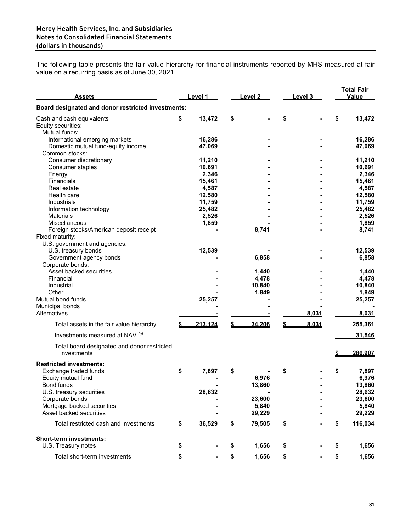The following table presents the fair value hierarchy for financial instruments reported by MHS measured at fair value on a recurring basis as of June 30, 2021.

| <b>Assets</b>                                      |    | Level 1<br>Level 2 |    |        | Level 3 | <b>Total Fair</b><br>Value |         |
|----------------------------------------------------|----|--------------------|----|--------|---------|----------------------------|---------|
| Board designated and donor restricted investments: |    |                    |    |        |         |                            |         |
| Cash and cash equivalents                          | \$ | 13,472             | \$ |        | \$      | \$                         | 13,472  |
| Equity securities:                                 |    |                    |    |        |         |                            |         |
| Mutual funds:                                      |    |                    |    |        |         |                            |         |
| International emerging markets                     |    | 16,286             |    |        |         |                            | 16,286  |
| Domestic mutual fund-equity income                 |    | 47,069             |    |        |         |                            | 47,069  |
| Common stocks:                                     |    |                    |    |        |         |                            |         |
| Consumer discretionary                             |    | 11,210             |    |        |         |                            | 11,210  |
| Consumer staples                                   |    | 10,691             |    |        |         |                            | 10,691  |
| Energy                                             |    | 2,346              |    |        |         |                            | 2,346   |
| Financials                                         |    | 15,461             |    |        |         |                            | 15,461  |
| Real estate                                        |    | 4,587              |    |        |         |                            | 4,587   |
| Health care                                        |    | 12,580             |    |        |         |                            | 12,580  |
| Industrials                                        |    | 11,759             |    |        |         |                            | 11,759  |
| Information technology                             |    | 25,482             |    |        |         |                            | 25,482  |
| <b>Materials</b>                                   |    | 2,526              |    |        |         |                            | 2,526   |
| Miscellaneous                                      |    | 1,859              |    |        |         |                            | 1,859   |
| Foreign stocks/American deposit receipt            |    |                    |    | 8,741  |         |                            | 8,741   |
| Fixed maturity:                                    |    |                    |    |        |         |                            |         |
| U.S. government and agencies:                      |    |                    |    |        |         |                            |         |
| U.S. treasury bonds                                |    | 12,539             |    |        |         |                            | 12,539  |
| Government agency bonds                            |    |                    |    | 6,858  |         |                            | 6,858   |
| Corporate bonds:                                   |    |                    |    |        |         |                            |         |
| Asset backed securities                            |    |                    |    | 1,440  |         |                            | 1,440   |
| Financial                                          |    |                    |    | 4,478  |         |                            | 4,478   |
| Industrial                                         |    |                    |    | 10,840 |         |                            | 10,840  |
| Other                                              |    |                    |    | 1,849  |         |                            | 1,849   |
| Mutual bond funds                                  |    | 25,257             |    |        |         |                            | 25,257  |
| Municipal bonds                                    |    |                    |    |        |         |                            |         |
| Alternatives                                       |    |                    |    |        | 8,031   |                            | 8,031   |
| Total assets in the fair value hierarchy           |    | 213,124            |    | 34,206 | 8,031   |                            | 255,361 |
| Investments measured at NAV (a)                    |    |                    |    |        |         |                            | 31,546  |
| Total board designated and donor restricted        |    |                    |    |        |         |                            |         |
| investments                                        |    |                    |    |        |         |                            | 286,907 |
| <b>Restricted investments:</b>                     |    |                    |    |        |         |                            |         |
| Exchange traded funds                              | \$ | 7,897              | \$ |        | \$      | \$                         | 7,897   |
| Equity mutual fund                                 |    |                    |    | 6,976  |         |                            | 6,976   |
| Bond funds                                         |    |                    |    | 13,860 |         |                            | 13,860  |
| U.S. treasury securities                           |    | 28,632             |    |        |         |                            | 28,632  |
| Corporate bonds                                    |    |                    |    | 23,600 |         |                            | 23,600  |
| Mortgage backed securities                         |    |                    |    | 5,840  |         |                            | 5,840   |
| Asset backed securities                            |    |                    |    | 29,229 |         |                            | 29,229  |
| Total restricted cash and investments              |    | 36,529             |    | 79,505 |         | 5                          | 116,034 |
|                                                    |    |                    |    |        |         |                            |         |
| <b>Short-term investments:</b>                     |    |                    |    |        |         |                            |         |
| U.S. Treasury notes                                |    |                    |    | 1,656  |         |                            | 1,656   |
| Total short-term investments                       |    |                    | \$ | 1,656  | \$      | \$                         | 1,656   |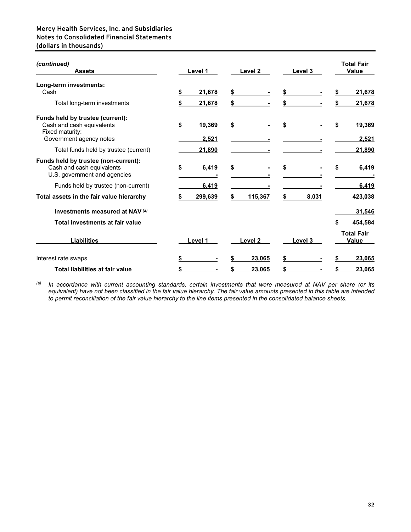#### **Mercy Health Services, Inc. and Subsidiaries Notes to Consolidated Financial Statements (dollars in thousands)**

| (continued)<br><b>Assets</b>                                                                      | Level 1 |                | Level 2 |         | Level 3 |       | <b>Total Fair</b><br>Value |                            |
|---------------------------------------------------------------------------------------------------|---------|----------------|---------|---------|---------|-------|----------------------------|----------------------------|
| Long-term investments:                                                                            |         |                |         |         |         |       |                            |                            |
| Cash                                                                                              |         | 21,678         |         |         |         |       |                            | 21,678                     |
| Total long-term investments                                                                       |         | 21,678         |         |         |         |       |                            | 21,678                     |
| Funds held by trustee (current):                                                                  |         |                |         |         |         |       |                            |                            |
| Cash and cash equivalents<br>Fixed maturity:                                                      | \$      | 19,369         | \$      |         | \$      |       | \$                         | 19,369                     |
| Government agency notes                                                                           |         | 2,521          |         |         |         |       |                            | 2,521                      |
| Total funds held by trustee (current)                                                             |         | 21,890         |         |         |         |       |                            | 21,890                     |
| Funds held by trustee (non-current):<br>Cash and cash equivalents<br>U.S. government and agencies | \$      | 6,419          | \$      |         | S       |       | S                          | 6,419                      |
| Funds held by trustee (non-current)                                                               |         | 6,419          |         |         |         |       |                            | 6,419                      |
| Total assets in the fair value hierarchy                                                          |         | <u>299.639</u> |         | 115.367 |         | 8.031 |                            | 423,038                    |
| Investments measured at NAV (a)                                                                   |         |                |         |         |         |       |                            | 31,546                     |
| Total investments at fair value                                                                   |         |                |         |         |         |       |                            | 454,584                    |
| <b>Liabilities</b>                                                                                | Level 1 |                |         | Level 2 | Level 3 |       |                            | <b>Total Fair</b><br>Value |
| Interest rate swaps                                                                               |         |                |         | 23,065  |         |       |                            | 23,065                     |
| Total liabilities at fair value                                                                   |         |                |         | 23,065  |         |       |                            | 23,065                     |

*(a) In accordance with current accounting standards, certain investments that were measured at NAV per share (or its equivalent) have not been classified in the fair value hierarchy. The fair value amounts presented in this table are intended to permit reconciliation of the fair value hierarchy to the line items presented in the consolidated balance sheets.*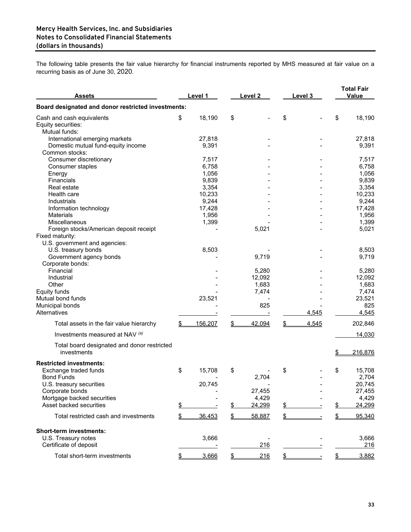The following table presents the fair value hierarchy for financial instruments reported by MHS measured at fair value on a recurring basis as of June 30, 2020.

| Assets                                             |             | Level 1 |               | Level 2<br>Level 3 |    |       | <b>Total Fair</b><br><b>Value</b> |
|----------------------------------------------------|-------------|---------|---------------|--------------------|----|-------|-----------------------------------|
| Board designated and donor restricted investments: |             |         |               |                    |    |       |                                   |
| Cash and cash equivalents                          | \$          | 18,190  | \$            |                    | \$ |       | \$<br>18,190                      |
| Equity securities:                                 |             |         |               |                    |    |       |                                   |
| Mutual funds:                                      |             |         |               |                    |    |       |                                   |
| International emerging markets                     |             | 27,818  |               |                    |    |       | 27,818                            |
| Domestic mutual fund-equity income                 |             | 9,391   |               |                    |    |       | 9,391                             |
| Common stocks:                                     |             |         |               |                    |    |       |                                   |
| Consumer discretionary                             |             | 7,517   |               |                    |    |       | 7,517                             |
| Consumer staples                                   |             | 6,758   |               |                    |    |       | 6,758                             |
| Energy                                             |             | 1,056   |               |                    |    |       | 1,056                             |
| Financials                                         |             | 9,839   |               |                    |    |       | 9,839                             |
| Real estate                                        |             | 3,354   |               |                    |    |       | 3,354                             |
| Health care                                        |             | 10,233  |               |                    |    |       | 10,233                            |
| Industrials                                        |             | 9,244   |               |                    |    |       | 9,244                             |
| Information technology                             |             | 17,428  |               |                    |    |       | 17,428                            |
| <b>Materials</b>                                   |             | 1,956   |               |                    |    |       | 1,956                             |
| Miscellaneous                                      |             | 1,399   |               |                    |    |       | 1,399                             |
| Foreign stocks/American deposit receipt            |             |         |               | 5,021              |    |       | 5,021                             |
| Fixed maturity:                                    |             |         |               |                    |    |       |                                   |
| U.S. government and agencies:                      |             |         |               |                    |    |       |                                   |
| U.S. treasury bonds                                |             | 8,503   |               |                    |    |       | 8,503                             |
| Government agency bonds                            |             |         |               | 9,719              |    |       | 9,719                             |
| Corporate bonds:                                   |             |         |               |                    |    |       |                                   |
| Financial                                          |             |         |               | 5,280              |    |       | 5,280                             |
| Industrial                                         |             |         |               | 12,092             |    |       | 12,092                            |
| Other                                              |             |         |               | 1,683              |    |       | 1,683                             |
| Equity funds                                       |             |         |               | 7,474              |    |       | 7,474                             |
| Mutual bond funds                                  |             | 23,521  |               |                    |    |       | 23,521                            |
| Municipal bonds                                    |             |         |               | 825                |    |       | 825                               |
| Alternatives                                       |             |         |               |                    |    | 4,545 | 4,545                             |
| Total assets in the fair value hierarchy           | \$          | 156,207 | \$            | 42,094             | \$ | 4,545 | 202,846                           |
| Investments measured at NAV (a)                    |             |         |               |                    |    |       | 14,030                            |
| Total board designated and donor restricted        |             |         |               |                    |    |       |                                   |
| investments                                        |             |         |               |                    |    |       | \$<br>216,876                     |
| <b>Restricted investments:</b>                     |             |         |               |                    |    |       |                                   |
| Exchange traded funds                              | \$          | 15,708  | \$            |                    | \$ |       | \$<br>15,708                      |
| <b>Bond Funds</b>                                  |             |         |               | 2,704              |    |       | 2,704                             |
| U.S. treasury securities                           |             | 20,745  |               |                    |    |       | 20,745                            |
| Corporate bonds                                    |             |         |               | 27,455             |    |       | 27,455                            |
| Mortgage backed securities                         |             |         |               | 4,429              |    |       | 4,429                             |
| Asset backed securities                            | \$          |         | \$            | 24,299             | \$ |       | \$<br>24,299                      |
| Total restricted cash and investments              | $\mathsf S$ | 36,453  | $\frac{1}{2}$ | 58,887             | \$ |       | \$<br>95,340                      |
| <b>Short-term investments:</b>                     |             |         |               |                    |    |       |                                   |
| U.S. Treasury notes                                |             | 3,666   |               |                    |    |       | 3,666                             |
| Certificate of deposit                             |             |         |               | 216                |    |       | 216                               |
| Total short-term investments                       | \$          |         |               |                    |    |       | 3,882                             |
|                                                    |             | 3,666   | \$            | 216                | \$ |       | \$                                |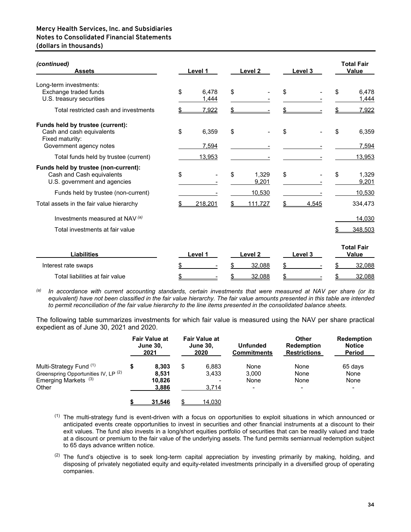#### **Mercy Health Services, Inc. and Subsidiaries Notes to Consolidated Financial Statements (dollars in thousands)**

| (continued)<br><b>Assets</b>                                                                                | Level 2<br>Level 1   |     |                    |    | Level 3 |    |                                   |  | <b>Total Fair</b><br><b>Value</b> |
|-------------------------------------------------------------------------------------------------------------|----------------------|-----|--------------------|----|---------|----|-----------------------------------|--|-----------------------------------|
| Long-term investments:<br>Exchange traded funds<br>U.S. treasury securities                                 | \$<br>6.478<br>1,444 | \$  |                    | \$ |         | \$ | 6.478<br>1,444                    |  |                                   |
| Total restricted cash and investments                                                                       | 7,922                |     |                    |    |         |    | 7,922                             |  |                                   |
| Funds held by trustee (current):<br>Cash and cash equivalents<br>Fixed maturity:<br>Government agency notes | \$<br>6.359<br>7,594 | \$  |                    | \$ |         | \$ | 6,359<br>7,594                    |  |                                   |
| Total funds held by trustee (current)                                                                       | 13,953               |     |                    |    |         |    | 13,953                            |  |                                   |
| Funds held by trustee (non-current):<br>Cash and Cash equivalents<br>U.S. government and agencies           | \$                   | \$. | 1.329<br>9,201     | \$ |         | \$ | 1,329<br>9,201                    |  |                                   |
| Funds held by trustee (non-current)                                                                         |                      |     | 10,530             |    |         |    | 10,530                            |  |                                   |
| Total assets in the fair value hierarchy                                                                    | 218,201              |     | 111,727            |    | 4.545   |    | 334,473                           |  |                                   |
| Investments measured at NAV (a)                                                                             |                      |     |                    |    |         |    | 14,030                            |  |                                   |
| Total investments at fair value                                                                             |                      |     |                    |    |         |    | 348,503                           |  |                                   |
| <b>Liabilities</b>                                                                                          | Level 1              |     | Level <sub>2</sub> |    | Level 3 |    | <b>Total Fair</b><br><b>Value</b> |  |                                   |
| Interest rate swaps                                                                                         |                      |     | 32,088             |    |         | S  | 32,088                            |  |                                   |
| Total liabilities at fair value                                                                             |                      |     | 32,088             |    |         | \$ | 32,088                            |  |                                   |

*(a) In accordance with current accounting standards, certain investments that were measured at NAV per share (or its*  equivalent) have not been classified in the fair value hierarchy. The fair value amounts presented in this table are intended *to permit reconciliation of the fair value hierarchy to the line items presented in the consolidated balance sheets.* 

The following table summarizes investments for which fair value is measured using the NAV per share practical expedient as of June 30, 2021 and 2020.

|                                                                                                             | <b>Fair Value at</b><br><b>June 30.</b><br>2021 | <b>Fair Value at</b><br><b>June 30,</b><br>2020 | Unfunded<br><b>Commitments</b> | <b>Other</b><br><b>Redemption</b><br><b>Restrictions</b> | <b>Redemption</b><br><b>Notice</b><br>Period |
|-------------------------------------------------------------------------------------------------------------|-------------------------------------------------|-------------------------------------------------|--------------------------------|----------------------------------------------------------|----------------------------------------------|
| Multi-Strategy Fund (1)<br>Greenspring Opportunities IV, LP <sup>(2)</sup><br>Emerging Markets (3)<br>Other | 8.303<br>8.531<br>10.826<br>3,886               | \$<br>6.883<br>3,433<br>3,714                   | None<br>3.000<br>None<br>$\,$  | None<br>None<br>None<br>$\overline{\phantom{a}}$         | 65 days<br>None<br>None<br>$\,$              |
|                                                                                                             | 31.546                                          | 14.030                                          |                                |                                                          |                                              |

 (1) The multi-strategy fund is event-driven with a focus on opportunities to exploit situations in which announced or anticipated events create opportunities to invest in securities and other financial instruments at a discount to their exit values. The fund also invests in a long/short equities portfolio of securities that can be readily valued and trade at a discount or premium to the fair value of the underlying assets. The fund permits semiannual redemption subject to 65 days advance written notice.

 $(2)$  The fund's objective is to seek long-term capital appreciation by investing primarily by making, holding, and disposing of privately negotiated equity and equity-related investments principally in a diversified group of operating companies.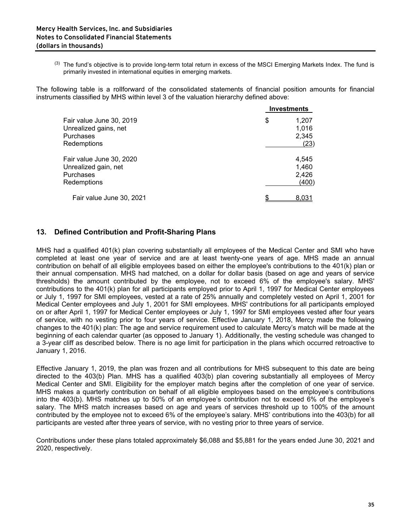$(3)$  The fund's objective is to provide long-term total return in excess of the MSCI Emerging Markets Index. The fund is primarily invested in international equities in emerging markets.

The following table is a rollforward of the consolidated statements of financial position amounts for financial instruments classified by MHS within level 3 of the valuation hierarchy defined above:

|                          | <b>Investments</b> |
|--------------------------|--------------------|
| Fair value June 30, 2019 | \$<br>1,207        |
| Unrealized gains, net    | 1,016              |
| <b>Purchases</b>         | 2,345              |
| Redemptions              | (23)               |
| Fair value June 30, 2020 | 4,545              |
| Unrealized gain, net     | 1,460              |
| <b>Purchases</b>         | 2,426              |
| Redemptions              | <u>(400)</u>       |
| Fair value June 30, 2021 | 8,031              |

#### **13. Defined Contribution and Profit-Sharing Plans**

MHS had a qualified 401(k) plan covering substantially all employees of the Medical Center and SMI who have completed at least one year of service and are at least twenty-one years of age. MHS made an annual contribution on behalf of all eligible employees based on either the employee's contributions to the 401(k) plan or their annual compensation. MHS had matched, on a dollar for dollar basis (based on age and years of service thresholds) the amount contributed by the employee, not to exceed 6% of the employee's salary. MHS' contributions to the 401(k) plan for all participants employed prior to April 1, 1997 for Medical Center employees or July 1, 1997 for SMI employees, vested at a rate of 25% annually and completely vested on April 1, 2001 for Medical Center employees and July 1, 2001 for SMI employees. MHS' contributions for all participants employed on or after April 1, 1997 for Medical Center employees or July 1, 1997 for SMI employees vested after four years of service, with no vesting prior to four years of service. Effective January 1, 2018, Mercy made the following changes to the 401(k) plan: The age and service requirement used to calculate Mercy's match will be made at the beginning of each calendar quarter (as opposed to January 1). Additionally, the vesting schedule was changed to a 3-year cliff as described below. There is no age limit for participation in the plans which occurred retroactive to January 1, 2016.

Effective January 1, 2019, the plan was frozen and all contributions for MHS subsequent to this date are being directed to the 403(b) Plan. MHS has a qualified 403(b) plan covering substantially all employees of Mercy Medical Center and SMI. Eligibility for the employer match begins after the completion of one year of service. MHS makes a quarterly contribution on behalf of all eligible employees based on the employee's contributions into the 403(b). MHS matches up to 50% of an employee's contribution not to exceed 6% of the employee's salary. The MHS match increases based on age and years of services threshold up to 100% of the amount contributed by the employee not to exceed 6% of the employee's salary. MHS' contributions into the 403(b) for all participants are vested after three years of service, with no vesting prior to three years of service.

Contributions under these plans totaled approximately \$6,088 and \$5,881 for the years ended June 30, 2021 and 2020, respectively.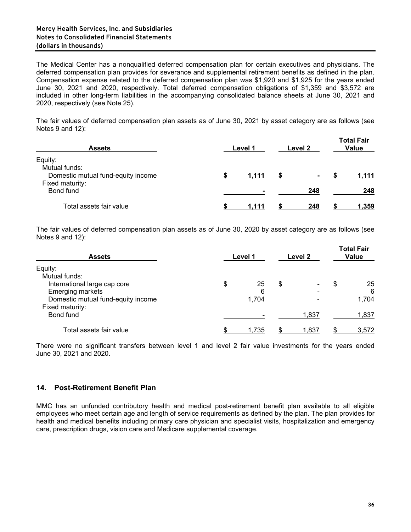#### **Mercy Health Services, Inc. and Subsidiaries Notes to Consolidated Financial Statements (dollars in thousands)**

The Medical Center has a nonqualified deferred compensation plan for certain executives and physicians. The deferred compensation plan provides for severance and supplemental retirement benefits as defined in the plan. Compensation expense related to the deferred compensation plan was \$1,920 and \$1,925 for the years ended June 30, 2021 and 2020, respectively. Total deferred compensation obligations of \$1,359 and \$3,572 are included in other long-term liabilities in the accompanying consolidated balance sheets at June 30, 2021 and 2020, respectively (see Note 25).

The fair values of deferred compensation plan assets as of June 30, 2021 by asset category are as follows (see Notes 9 and 12):

| <b>Assets</b>                      | Level 2<br>Level 1 |       |  |     | <b>Total Fair</b><br>Value |       |  |
|------------------------------------|--------------------|-------|--|-----|----------------------------|-------|--|
| Equity:                            |                    |       |  |     |                            |       |  |
| Mutual funds:                      |                    |       |  |     |                            |       |  |
| Domestic mutual fund-equity income | \$                 | 1,111 |  | ۰.  | S                          | 1,111 |  |
| Fixed maturity:                    |                    |       |  |     |                            |       |  |
| Bond fund                          |                    |       |  | 248 |                            | 248   |  |
| Total assets fair value            |                    | 1.111 |  | 248 |                            | 1.359 |  |

The fair values of deferred compensation plan assets as of June 30, 2020 by asset category are as follows (see Notes 9 and 12):

| <b>Assets</b>                      | Level 2<br>Level 1 |    |       | <b>Total Fair</b><br>Value |       |  |
|------------------------------------|--------------------|----|-------|----------------------------|-------|--|
| Equity:                            |                    |    |       |                            |       |  |
| Mutual funds:                      |                    |    |       |                            |       |  |
| International large cap core       | \$<br>25           | \$ |       | S                          | 25    |  |
| <b>Emerging markets</b>            | 6                  |    |       |                            | 6     |  |
| Domestic mutual fund-equity income | 1,704              |    |       |                            | 1,704 |  |
| Fixed maturity:                    |                    |    |       |                            |       |  |
| Bond fund                          |                    |    | 1,837 |                            | 1,837 |  |
| Total assets fair value            | 1.735              |    | 1,837 |                            | 3,572 |  |

There were no significant transfers between level 1 and level 2 fair value investments for the years ended June 30, 2021 and 2020.

#### **14. Post-Retirement Benefit Plan**

MMC has an unfunded contributory health and medical post-retirement benefit plan available to all eligible employees who meet certain age and length of service requirements as defined by the plan. The plan provides for health and medical benefits including primary care physician and specialist visits, hospitalization and emergency care, prescription drugs, vision care and Medicare supplemental coverage.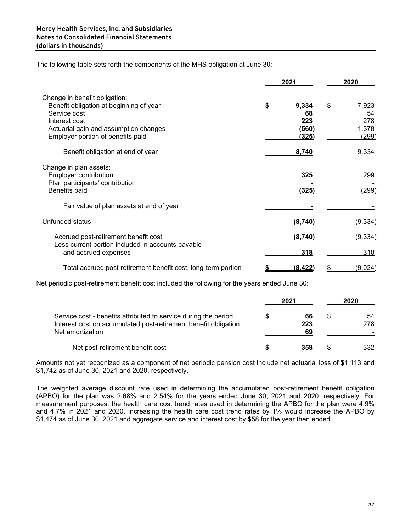The following table sets forth the components of the MHS obligation at June 30:

|                                                                                                                                                                                         | 2021                                       | 2020 |                                      |  |
|-----------------------------------------------------------------------------------------------------------------------------------------------------------------------------------------|--------------------------------------------|------|--------------------------------------|--|
| Change in benefit obligation:<br>Benefit obligation at beginning of year<br>Service cost<br>Interest cost<br>Actuarial gain and assumption changes<br>Employer portion of benefits paid | \$<br>9,334<br>68<br>223<br>(560)<br>(325) | \$   | 7,923<br>54<br>278<br>1,378<br>(299) |  |
| Benefit obligation at end of year                                                                                                                                                       | 8,740                                      |      | 9,334                                |  |
| Change in plan assets:<br>Employer contribution<br>Plan participants' contribution<br>Benefits paid                                                                                     | 325<br>(325)                               |      | 299<br>(299)                         |  |
| Fair value of plan assets at end of year                                                                                                                                                |                                            |      |                                      |  |
| Unfunded status                                                                                                                                                                         | (8,740)                                    |      | (9, 334)                             |  |
| Accrued post-retirement benefit cost                                                                                                                                                    | (8,740)                                    |      | (9, 334)                             |  |
| Less current portion included in accounts payable<br>and accrued expenses                                                                                                               | 318                                        |      | 310                                  |  |
| Total accrued post-retirement benefit cost, long-term portion                                                                                                                           | <u>(8.422)</u>                             | S    | (9,024)                              |  |
| Net periodic post-retirement benefit cost included the following for the years ended June 30:                                                                                           |                                            |      |                                      |  |

|                                                                                     | 2021      | 2020 |
|-------------------------------------------------------------------------------------|-----------|------|
| Service cost - benefits attributed to service during the period                     | 66        | 54   |
| Interest cost on accumulated post-retirement benefit obligation<br>Net amortization | 223<br>69 | 278  |
| Net post-retirement benefit cost                                                    | 358       | 332. |

Amounts not yet recognized as a component of net periodic pension cost include net actuarial loss of \$1,113 and \$1,742 as of June 30, 2021 and 2020, respectively.

The weighted average discount rate used in determining the accumulated post-retirement benefit obligation (APBO) for the plan was 2.68% and 2.54% for the years ended June 30, 2021 and 2020, respectively. For measurement purposes, the health care cost trend rates used in determining the APBO for the plan were 4.9% and 4.7% in 2021 and 2020. Increasing the health care cost trend rates by 1% would increase the APBO by \$1,474 as of June 30, 2021 and aggregate service and interest cost by \$58 for the year then ended.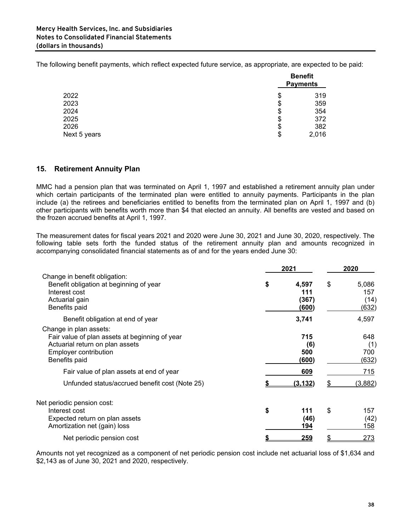The following benefit payments, which reflect expected future service, as appropriate, are expected to be paid:

|              | <b>Benefit</b><br><b>Payments</b> |
|--------------|-----------------------------------|
| 2022         | \$<br>319                         |
| 2023         | \$<br>359                         |
| 2024         | \$<br>354                         |
| 2025         | \$<br>372                         |
| 2026         | \$<br>382                         |
| Next 5 years | \$<br>2,016                       |

#### **15. Retirement Annuity Plan**

MMC had a pension plan that was terminated on April 1, 1997 and established a retirement annuity plan under which certain participants of the terminated plan were entitled to annuity payments. Participants in the plan include (a) the retirees and beneficiaries entitled to benefits from the terminated plan on April 1, 1997 and (b) other participants with benefits worth more than \$4 that elected an annuity. All benefits are vested and based on the frozen accrued benefits at April 1, 1997.

The measurement dates for fiscal years 2021 and 2020 were June 30, 2021 and June 30, 2020, respectively. The following table sets forth the funded status of the retirement annuity plan and amounts recognized in accompanying consolidated financial statements as of and for the years ended June 30:

|                                                                                                                                                       | 2021 | 2020                           |    |                               |
|-------------------------------------------------------------------------------------------------------------------------------------------------------|------|--------------------------------|----|-------------------------------|
| Change in benefit obligation:<br>Benefit obligation at beginning of year<br>Interest cost<br>Actuarial gain<br>Benefits paid                          | \$   | 4,597<br>111<br>(367)<br>(600) | \$ | 5,086<br>157<br>(14)<br>(632) |
| Benefit obligation at end of year                                                                                                                     |      | 3,741                          |    | 4,597                         |
| Change in plan assets:<br>Fair value of plan assets at beginning of year<br>Actuarial return on plan assets<br>Employer contribution<br>Benefits paid |      | 715<br>(6)<br>500<br>(600)     |    | 648<br>(1)<br>700<br>(632)    |
| Fair value of plan assets at end of year                                                                                                              |      | 609                            |    | 715                           |
| Unfunded status/accrued benefit cost (Note 25)                                                                                                        |      | (3.132)                        |    | (3,882)                       |
| Net periodic pension cost:<br>Interest cost<br>Expected return on plan assets<br>Amortization net (gain) loss                                         | \$   | 111<br>(46)<br>194             | \$ | 157<br>(42)<br>158            |
| Net periodic pension cost                                                                                                                             |      | 259                            | \$ | <u>273</u>                    |

Amounts not yet recognized as a component of net periodic pension cost include net actuarial loss of \$1,634 and \$2,143 as of June 30, 2021 and 2020, respectively.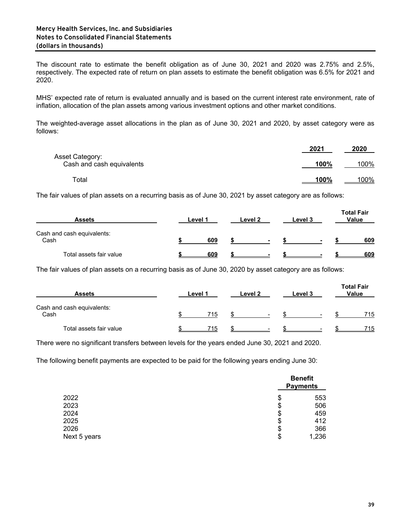The discount rate to estimate the benefit obligation as of June 30, 2021 and 2020 was 2.75% and 2.5%, respectively. The expected rate of return on plan assets to estimate the benefit obligation was 6.5% for 2021 and 2020.

MHS' expected rate of return is evaluated annually and is based on the current interest rate environment, rate of inflation, allocation of the plan assets among various investment options and other market conditions.

The weighted-average asset allocations in the plan as of June 30, 2021 and 2020, by asset category were as follows:

|                                              | 2021    | 2020 |
|----------------------------------------------|---------|------|
| Asset Category:<br>Cash and cash equivalents | $100\%$ | 100% |
| Total                                        | $100\%$ | 100% |

The fair values of plan assets on a recurring basis as of June 30, 2021 by asset category are as follows:

| <b>Assets</b>                      | Level 1 | Level 2        | Level 3 |  | <b>Total Fair</b><br>Value |
|------------------------------------|---------|----------------|---------|--|----------------------------|
| Cash and cash equivalents:<br>Cash | 609     | $\blacksquare$ |         |  | 609                        |
| Total assets fair value            | 609     |                |         |  | 609                        |

The fair values of plan assets on a recurring basis as of June 30, 2020 by asset category are as follows:

| <b>Assets</b>                      | Level 1 | Level 2                  | Level 3 |  | <b>Total Fair</b><br>Value |
|------------------------------------|---------|--------------------------|---------|--|----------------------------|
| Cash and cash equivalents:<br>Cash | 715     | $\overline{\phantom{0}}$ |         |  | 715                        |
| Total assets fair value            | 715.    |                          |         |  | 715                        |

There were no significant transfers between levels for the years ended June 30, 2021 and 2020.

The following benefit payments are expected to be paid for the following years ending June 30:

|              | <b>Benefit</b><br><b>Payments</b> |
|--------------|-----------------------------------|
| 2022         | \$<br>553                         |
| 2023         | \$<br>506                         |
| 2024         | \$<br>459                         |
| 2025         | \$<br>412                         |
| 2026         | \$<br>366                         |
| Next 5 years | \$<br>1,236                       |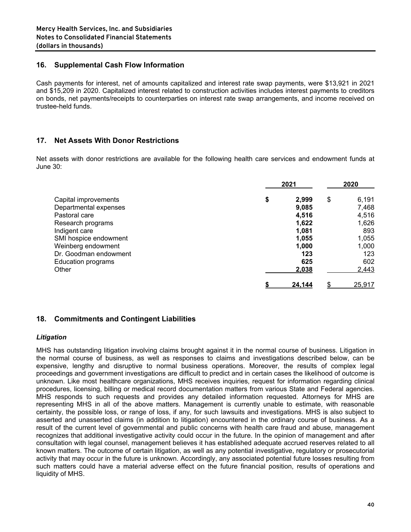#### **16. Supplemental Cash Flow Information**

Cash payments for interest, net of amounts capitalized and interest rate swap payments, were \$13,921 in 2021 and \$15,209 in 2020. Capitalized interest related to construction activities includes interest payments to creditors on bonds, net payments/receipts to counterparties on interest rate swap arrangements, and income received on trustee-held funds.

#### **17. Net Assets With Donor Restrictions**

Net assets with donor restrictions are available for the following health care services and endowment funds at June 30:

|                           | 2021          | 2020         |
|---------------------------|---------------|--------------|
| Capital improvements      | \$<br>2,999   | \$<br>6,191  |
| Departmental expenses     | 9,085         | 7,468        |
| Pastoral care             | 4,516         | 4,516        |
| Research programs         | 1,622         | 1,626        |
| Indigent care             | 1,081         | 893          |
| SMI hospice endowment     | 1,055         | 1,055        |
| Weinberg endowment        | 1,000         | 1,000        |
| Dr. Goodman endowment     | 123           | 123          |
| <b>Education programs</b> | 625           | 602          |
| Other                     | 2,038         | 2,443        |
|                           | <u>24.144</u> | \$<br>25,917 |

#### **18. Commitments and Contingent Liabilities**

#### *Litigation*

MHS has outstanding litigation involving claims brought against it in the normal course of business. Litigation in the normal course of business, as well as responses to claims and investigations described below, can be expensive, lengthy and disruptive to normal business operations. Moreover, the results of complex legal proceedings and government investigations are difficult to predict and in certain cases the likelihood of outcome is unknown. Like most healthcare organizations, MHS receives inquiries, request for information regarding clinical procedures, licensing, billing or medical record documentation matters from various State and Federal agencies. MHS responds to such requests and provides any detailed information requested. Attorneys for MHS are representing MHS in all of the above matters. Management is currently unable to estimate, with reasonable certainty, the possible loss, or range of loss, if any, for such lawsuits and investigations. MHS is also subject to asserted and unasserted claims (in addition to litigation) encountered in the ordinary course of business. As a result of the current level of governmental and public concerns with health care fraud and abuse, management recognizes that additional investigative activity could occur in the future. In the opinion of management and after consultation with legal counsel, management believes it has established adequate accrued reserves related to all known matters. The outcome of certain litigation, as well as any potential investigative, regulatory or prosecutorial activity that may occur in the future is unknown. Accordingly, any associated potential future losses resulting from such matters could have a material adverse effect on the future financial position, results of operations and liquidity of MHS.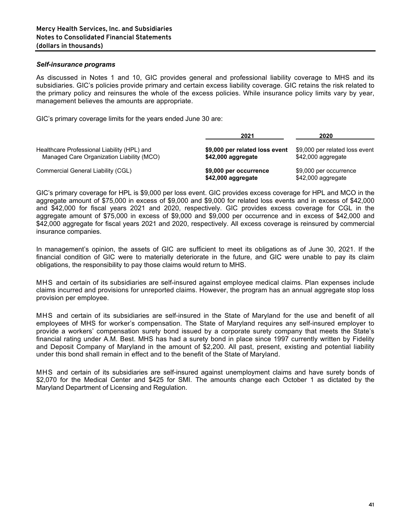#### *Self-insurance programs*

As discussed in Notes 1 and 10, GIC provides general and professional liability coverage to MHS and its subsidiaries. GIC's policies provide primary and certain excess liability coverage. GIC retains the risk related to the primary policy and reinsures the whole of the excess policies. While insurance policy limits vary by year, management believes the amounts are appropriate.

GIC's primary coverage limits for the years ended June 30 are:

|                                                                                          | 2021                                                 | 2020                                                 |
|------------------------------------------------------------------------------------------|------------------------------------------------------|------------------------------------------------------|
| Healthcare Professional Liability (HPL) and<br>Managed Care Organization Liability (MCO) | \$9,000 per related loss event<br>\$42,000 aggregate | \$9,000 per related loss event<br>\$42,000 aggregate |
| Commercial General Liability (CGL)                                                       | \$9,000 per occurrence<br>\$42,000 aggregate         | \$9,000 per occurrence<br>\$42,000 aggregate         |

GIC's primary coverage for HPL is \$9,000 per loss event. GIC provides excess coverage for HPL and MCO in the aggregate amount of \$75,000 in excess of \$9,000 and \$9,000 for related loss events and in excess of \$42,000 and \$42,000 for fiscal years 2021 and 2020, respectively. GIC provides excess coverage for CGL in the aggregate amount of \$75,000 in excess of \$9,000 and \$9,000 per occurrence and in excess of \$42,000 and \$42,000 aggregate for fiscal years 2021 and 2020, respectively. All excess coverage is reinsured by commercial insurance companies.

In management's opinion, the assets of GIC are sufficient to meet its obligations as of June 30, 2021. If the financial condition of GIC were to materially deteriorate in the future, and GIC were unable to pay its claim obligations, the responsibility to pay those claims would return to MHS.

MHS and certain of its subsidiaries are self-insured against employee medical claims. Plan expenses include claims incurred and provisions for unreported claims. However, the program has an annual aggregate stop loss provision per employee.

MHS and certain of its subsidiaries are self-insured in the State of Maryland for the use and benefit of all employees of MHS for worker's compensation. The State of Maryland requires any self-insured employer to provide a workers' compensation surety bond issued by a corporate surety company that meets the State's financial rating under A.M. Best. MHS has had a surety bond in place since 1997 currently written by Fidelity and Deposit Company of Maryland in the amount of \$2,200. All past, present, existing and potential liability under this bond shall remain in effect and to the benefit of the State of Maryland.

MHS and certain of its subsidiaries are self-insured against unemployment claims and have surety bonds of \$2,070 for the Medical Center and \$425 for SMI. The amounts change each October 1 as dictated by the Maryland Department of Licensing and Regulation.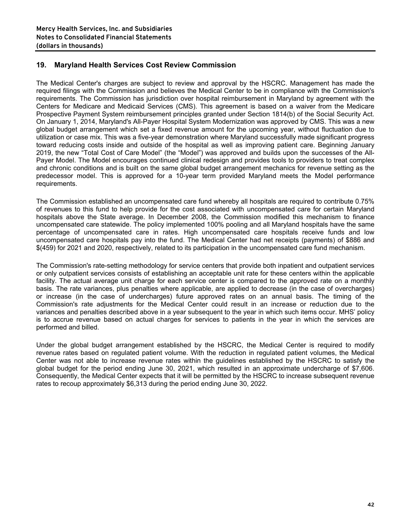#### **19. Maryland Health Services Cost Review Commission**

The Medical Center's charges are subject to review and approval by the HSCRC. Management has made the required filings with the Commission and believes the Medical Center to be in compliance with the Commission's requirements. The Commission has jurisdiction over hospital reimbursement in Maryland by agreement with the Centers for Medicare and Medicaid Services (CMS). This agreement is based on a waiver from the Medicare Prospective Payment System reimbursement principles granted under Section 1814(b) of the Social Security Act. On January 1, 2014, Maryland's All-Payer Hospital System Modernization was approved by CMS. This was a new global budget arrangement which set a fixed revenue amount for the upcoming year, without fluctuation due to utilization or case mix. This was a five-year demonstration where Maryland successfully made significant progress toward reducing costs inside and outside of the hospital as well as improving patient care. Beginning January 2019, the new "Total Cost of Care Model" (the "Model") was approved and builds upon the successes of the All-Payer Model. The Model encourages continued clinical redesign and provides tools to providers to treat complex and chronic conditions and is built on the same global budget arrangement mechanics for revenue setting as the predecessor model. This is approved for a 10-year term provided Maryland meets the Model performance requirements.

The Commission established an uncompensated care fund whereby all hospitals are required to contribute 0.75% of revenues to this fund to help provide for the cost associated with uncompensated care for certain Maryland hospitals above the State average. In December 2008, the Commission modified this mechanism to finance uncompensated care statewide. The policy implemented 100% pooling and all Maryland hospitals have the same percentage of uncompensated care in rates. High uncompensated care hospitals receive funds and low uncompensated care hospitals pay into the fund. The Medical Center had net receipts (payments) of \$886 and \$(459) for 2021 and 2020, respectively, related to its participation in the uncompensated care fund mechanism.

The Commission's rate-setting methodology for service centers that provide both inpatient and outpatient services or only outpatient services consists of establishing an acceptable unit rate for these centers within the applicable facility. The actual average unit charge for each service center is compared to the approved rate on a monthly basis. The rate variances, plus penalties where applicable, are applied to decrease (in the case of overcharges) or increase (in the case of undercharges) future approved rates on an annual basis. The timing of the Commission's rate adjustments for the Medical Center could result in an increase or reduction due to the variances and penalties described above in a year subsequent to the year in which such items occur. MHS' policy is to accrue revenue based on actual charges for services to patients in the year in which the services are performed and billed.

Under the global budget arrangement established by the HSCRC, the Medical Center is required to modify revenue rates based on regulated patient volume. With the reduction in regulated patient volumes, the Medical Center was not able to increase revenue rates within the guidelines established by the HSCRC to satisfy the global budget for the period ending June 30, 2021, which resulted in an approximate undercharge of \$7,606. Consequently, the Medical Center expects that it will be permitted by the HSCRC to increase subsequent revenue rates to recoup approximately \$6,313 during the period ending June 30, 2022.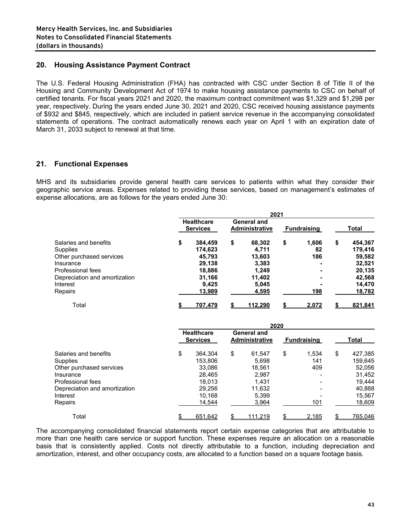#### **20. Housing Assistance Payment Contract**

The U.S. Federal Housing Administration (FHA) has contracted with CSC under Section 8 of Title II of the Housing and Community Development Act of 1974 to make housing assistance payments to CSC on behalf of certified tenants. For fiscal years 2021 and 2020, the maximum contract commitment was \$1,329 and \$1,298 per year, respectively. During the years ended June 30, 2021 and 2020, CSC received housing assistance payments of \$932 and \$845, respectively, which are included in patient service revenue in the accompanying consolidated statements of operations. The contract automatically renews each year on April 1 with an expiration date of March 31, 2033 subject to renewal at that time.

#### **21. Functional Expenses**

MHS and its subsidiaries provide general health care services to patients within what they consider their geographic service areas. Expenses related to providing these services, based on management's estimates of expense allocations, are as follows for the years ended June 30:

|                               |                                      | 2021                                 |                    |               |
|-------------------------------|--------------------------------------|--------------------------------------|--------------------|---------------|
|                               | <b>Healthcare</b><br><b>Services</b> | General and<br><b>Administrative</b> | <b>Fundraising</b> | Total         |
| Salaries and benefits         | \$<br>384,459                        | \$<br>68,302                         | \$<br>1,606        | \$<br>454,367 |
| <b>Supplies</b>               | 174,623                              | 4,711                                | 82                 | 179,416       |
| Other purchased services      | 45,793                               | 13,603                               | 186                | 59,582        |
| Insurance                     | 29,138                               | 3,383                                | $\blacksquare$     | 32,521        |
| Professional fees             | 18,886                               | 1,249                                |                    | 20,135        |
| Depreciation and amortization | 31,166                               | 11,402                               |                    | 42,568        |
| Interest                      | 9,425                                | 5,045                                |                    | 14,470        |
| Repairs                       | 13,989                               | 4,595                                | 198                | 18,782        |
| Total                         | 707.479                              | 112.290                              | 2.072              | 821,841       |

|                               |                                      |                                      | 2020 |                    |               |
|-------------------------------|--------------------------------------|--------------------------------------|------|--------------------|---------------|
|                               | <b>Healthcare</b><br><b>Services</b> | General and<br><b>Administrative</b> |      | <b>Fundraising</b> | Total         |
| Salaries and benefits         | \$<br>364.304                        | \$<br>61,547                         | \$   | 1,534              | \$<br>427,385 |
| <b>Supplies</b>               | 153.806                              | 5.698                                |      | 141                | 159,645       |
| Other purchased services      | 33,086                               | 18,561                               |      | 409                | 52,056        |
| Insurance                     | 28,465                               | 2,987                                |      |                    | 31,452        |
| Professional fees             | 18.013                               | 1,431                                |      |                    | 19,444        |
| Depreciation and amortization | 29,256                               | 11,632                               |      |                    | 40,888        |
| Interest                      | 10,168                               | 5,399                                |      |                    | 15,567        |
| Repairs                       | 14,544                               | 3,964                                |      | 101                | 18,609        |
| Total                         | 651.642                              | 111.219                              |      | 2.185              | 765.046       |

The accompanying consolidated financial statements report certain expense categories that are attributable to more than one health care service or support function. These expenses require an allocation on a reasonable basis that is consistently applied. Costs not directly attributable to a function, including depreciation and amortization, interest, and other occupancy costs, are allocated to a function based on a square footage basis.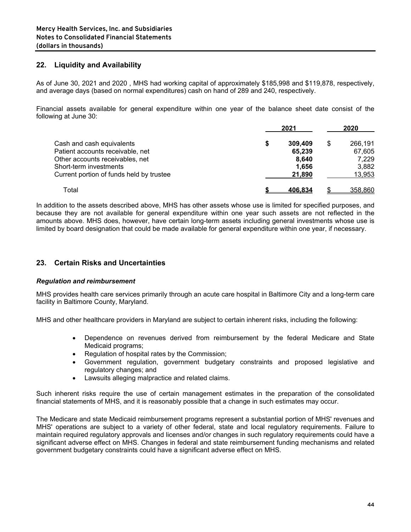#### **22. Liquidity and Availability**

As of June 30, 2021 and 2020 , MHS had working capital of approximately \$185,998 and \$119,878, respectively, and average days (based on normal expenditures) cash on hand of 289 and 240, respectively.

Financial assets available for general expenditure within one year of the balance sheet date consist of the following at June 30:

|                                          | 2021    |   | 2020    |
|------------------------------------------|---------|---|---------|
| Cash and cash equivalents                | 309,409 | S | 266.191 |
| Patient accounts receivable, net         | 65,239  |   | 67,605  |
| Other accounts receivables, net          | 8.640   |   | 7,229   |
| Short-term investments                   | 1.656   |   | 3,882   |
| Current portion of funds held by trustee | 21,890  |   | 13,953  |
| Total                                    | 406.834 |   | 358,860 |

In addition to the assets described above, MHS has other assets whose use is limited for specified purposes, and because they are not available for general expenditure within one year such assets are not reflected in the amounts above. MHS does, however, have certain long-term assets including general investments whose use is limited by board designation that could be made available for general expenditure within one year, if necessary.

#### **23. Certain Risks and Uncertainties**

#### *Regulation and reimbursement*

MHS provides health care services primarily through an acute care hospital in Baltimore City and a long-term care facility in Baltimore County, Maryland.

MHS and other healthcare providers in Maryland are subject to certain inherent risks, including the following:

- Dependence on revenues derived from reimbursement by the federal Medicare and State Medicaid programs;
- Regulation of hospital rates by the Commission;
- Government regulation, government budgetary constraints and proposed legislative and regulatory changes; and
- Lawsuits alleging malpractice and related claims.

Such inherent risks require the use of certain management estimates in the preparation of the consolidated financial statements of MHS, and it is reasonably possible that a change in such estimates may occur.

The Medicare and state Medicaid reimbursement programs represent a substantial portion of MHS' revenues and MHS' operations are subject to a variety of other federal, state and local regulatory requirements. Failure to maintain required regulatory approvals and licenses and/or changes in such regulatory requirements could have a significant adverse effect on MHS. Changes in federal and state reimbursement funding mechanisms and related government budgetary constraints could have a significant adverse effect on MHS.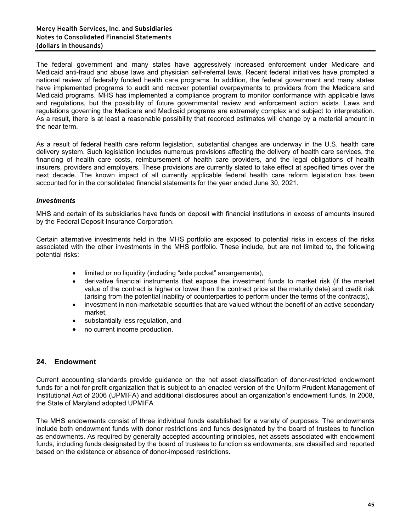The federal government and many states have aggressively increased enforcement under Medicare and Medicaid anti-fraud and abuse laws and physician self-referral laws. Recent federal initiatives have prompted a national review of federally funded health care programs. In addition, the federal government and many states have implemented programs to audit and recover potential overpayments to providers from the Medicare and Medicaid programs. MHS has implemented a compliance program to monitor conformance with applicable laws and regulations, but the possibility of future governmental review and enforcement action exists. Laws and regulations governing the Medicare and Medicaid programs are extremely complex and subject to interpretation. As a result, there is at least a reasonable possibility that recorded estimates will change by a material amount in the near term.

As a result of federal health care reform legislation, substantial changes are underway in the U.S. health care delivery system. Such legislation includes numerous provisions affecting the delivery of health care services, the financing of health care costs, reimbursement of health care providers, and the legal obligations of health insurers, providers and employers. These provisions are currently slated to take effect at specified times over the next decade. The known impact of all currently applicable federal health care reform legislation has been accounted for in the consolidated financial statements for the year ended June 30, 2021.

#### *Investments*

MHS and certain of its subsidiaries have funds on deposit with financial institutions in excess of amounts insured by the Federal Deposit Insurance Corporation.

Certain alternative investments held in the MHS portfolio are exposed to potential risks in excess of the risks associated with the other investments in the MHS portfolio. These include, but are not limited to, the following potential risks:

- limited or no liquidity (including "side pocket" arrangements),
- derivative financial instruments that expose the investment funds to market risk (if the market value of the contract is higher or lower than the contract price at the maturity date) and credit risk (arising from the potential inability of counterparties to perform under the terms of the contracts),
- investment in non-marketable securities that are valued without the benefit of an active secondary market,
- substantially less regulation, and
- no current income production.

#### **24. Endowment**

Current accounting standards provide guidance on the net asset classification of donor-restricted endowment funds for a not-for-profit organization that is subject to an enacted version of the Uniform Prudent Management of Institutional Act of 2006 (UPMIFA) and additional disclosures about an organization's endowment funds. In 2008, the State of Maryland adopted UPMIFA.

The MHS endowments consist of three individual funds established for a variety of purposes. The endowments include both endowment funds with donor restrictions and funds designated by the board of trustees to function as endowments. As required by generally accepted accounting principles, net assets associated with endowment funds, including funds designated by the board of trustees to function as endowments, are classified and reported based on the existence or absence of donor-imposed restrictions.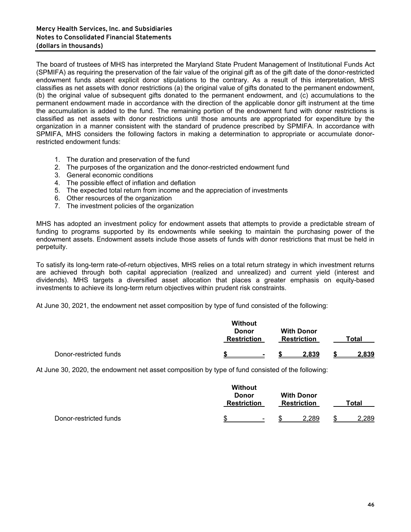The board of trustees of MHS has interpreted the Maryland State Prudent Management of Institutional Funds Act (SPMIFA) as requiring the preservation of the fair value of the original gift as of the gift date of the donor-restricted endowment funds absent explicit donor stipulations to the contrary. As a result of this interpretation, MHS classifies as net assets with donor restrictions (a) the original value of gifts donated to the permanent endowment, (b) the original value of subsequent gifts donated to the permanent endowment, and (c) accumulations to the permanent endowment made in accordance with the direction of the applicable donor gift instrument at the time the accumulation is added to the fund. The remaining portion of the endowment fund with donor restrictions is classified as net assets with donor restrictions until those amounts are appropriated for expenditure by the organization in a manner consistent with the standard of prudence prescribed by SPMIFA. In accordance with SPMIFA, MHS considers the following factors in making a determination to appropriate or accumulate donorrestricted endowment funds:

- 1. The duration and preservation of the fund
- 2. The purposes of the organization and the donor-restricted endowment fund
- 3. General economic conditions
- 4. The possible effect of inflation and deflation
- 5. The expected total return from income and the appreciation of investments
- 6. Other resources of the organization
- 7. The investment policies of the organization

MHS has adopted an investment policy for endowment assets that attempts to provide a predictable stream of funding to programs supported by its endowments while seeking to maintain the purchasing power of the endowment assets. Endowment assets include those assets of funds with donor restrictions that must be held in perpetuity.

To satisfy its long-term rate-of-return objectives, MHS relies on a total return strategy in which investment returns are achieved through both capital appreciation (realized and unrealized) and current yield (interest and dividends). MHS targets a diversified asset allocation that places a greater emphasis on equity-based investments to achieve its long-term return objectives within prudent risk constraints.

At June 30, 2021, the endowment net asset composition by type of fund consisted of the following:

|                        | <b>Without</b><br>Donor<br><b>Restriction</b> | <b>With Donor</b><br><b>Restriction</b> | Total |  |  |
|------------------------|-----------------------------------------------|-----------------------------------------|-------|--|--|
| Donor-restricted funds |                                               | 2.839                                   | 2.839 |  |  |

At June 30, 2020, the endowment net asset composition by type of fund consisted of the following:

|                        | <b>Without</b><br>Donor<br><b>Restriction</b> |                | <b>With Donor</b><br><b>Restriction</b> | Total |
|------------------------|-----------------------------------------------|----------------|-----------------------------------------|-------|
| Donor-restricted funds |                                               | $\blacksquare$ | 2.289                                   | 2.289 |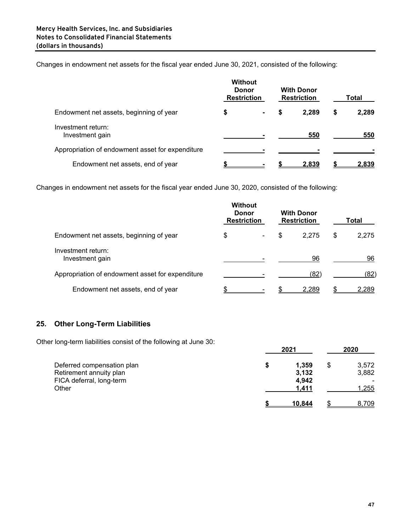Changes in endowment net assets for the fiscal year ended June 30, 2021, consisted of the following:

|                                                  | Without<br><b>Donor</b><br><b>Restriction</b> |   | <b>With Donor</b><br><b>Restriction</b> | Total       |
|--------------------------------------------------|-----------------------------------------------|---|-----------------------------------------|-------------|
| Endowment net assets, beginning of year          | \$                                            | S | 2,289                                   | \$<br>2,289 |
| Investment return:<br>Investment gain            |                                               |   | 550                                     | 550         |
| Appropriation of endowment asset for expenditure |                                               |   |                                         |             |
| Endowment net assets, end of year                |                                               |   | 2.839                                   | 2.839       |

Changes in endowment net assets for the fiscal year ended June 30, 2020, consisted of the following:

|                                                  | <b>Without</b><br><b>Donor</b><br><b>Restriction</b> |                | <b>With Donor</b><br><b>Restriction</b> |   | Total |
|--------------------------------------------------|------------------------------------------------------|----------------|-----------------------------------------|---|-------|
| Endowment net assets, beginning of year          | \$                                                   | $\blacksquare$ | \$<br>2.275                             | S | 2,275 |
| Investment return:<br>Investment gain            |                                                      |                | 96                                      |   | 96    |
| Appropriation of endowment asset for expenditure |                                                      |                | (82)                                    |   | (82)  |
| Endowment net assets, end of year                |                                                      |                | 2,289                                   |   | 2,289 |

#### **25. Other Long-Term Liabilities**

Other long-term liabilities consist of the following at June 30:

|                            |   | 2021   |   | 2020  |
|----------------------------|---|--------|---|-------|
| Deferred compensation plan | S | 1.359  | S | 3,572 |
| Retirement annuity plan    |   | 3,132  |   | 3,882 |
| FICA deferral, long-term   |   | 4,942  |   |       |
| Other                      |   | 1.411  |   | 1,255 |
|                            |   | 10.844 |   | 8,709 |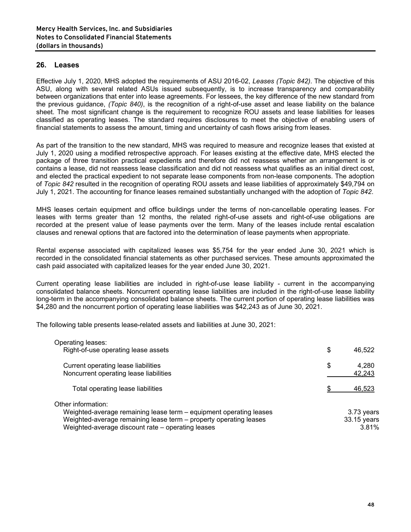#### **26. Leases**

Effective July 1, 2020, MHS adopted the requirements of ASU 2016-02, *Leases (Topic 842)*. The objective of this ASU, along with several related ASUs issued subsequently, is to increase transparency and comparability between organizations that enter into lease agreements. For lessees, the key difference of the new standard from the previous guidance, *(Topic 840)*, is the recognition of a right-of-use asset and lease liability on the balance sheet. The most significant change is the requirement to recognize ROU assets and lease liabilities for leases classified as operating leases. The standard requires disclosures to meet the objective of enabling users of financial statements to assess the amount, timing and uncertainty of cash flows arising from leases.

As part of the transition to the new standard, MHS was required to measure and recognize leases that existed at July 1, 2020 using a modified retrospective approach. For leases existing at the effective date, MHS elected the package of three transition practical expedients and therefore did not reassess whether an arrangement is or contains a lease, did not reassess lease classification and did not reassess what qualifies as an initial direct cost, and elected the practical expedient to not separate lease components from non-lease components. The adoption of *Topic 842* resulted in the recognition of operating ROU assets and lease liabilities of approximately \$49,794 on July 1, 2021. The accounting for finance leases remained substantially unchanged with the adoption of *Topic 842*.

MHS leases certain equipment and office buildings under the terms of non-cancellable operating leases. For leases with terms greater than 12 months, the related right-of-use assets and right-of-use obligations are recorded at the present value of lease payments over the term. Many of the leases include rental escalation clauses and renewal options that are factored into the determination of lease payments when appropriate.

Rental expense associated with capitalized leases was \$5,754 for the year ended June 30, 2021 which is recorded in the consolidated financial statements as other purchased services. These amounts approximated the cash paid associated with capitalized leases for the year ended June 30, 2021.

Current operating lease liabilities are included in right-of-use lease liability - current in the accompanying consolidated balance sheets. Noncurrent operating lease liabilities are included in the right-of-use lease liability long-term in the accompanying consolidated balance sheets. The current portion of operating lease liabilities was \$4,280 and the noncurrent portion of operating lease liabilities was \$42,243 as of June 30, 2021.

The following table presents lease-related assets and liabilities at June 30, 2021:

| Operating leases:<br>Right-of-use operating lease assets                                                                                                                                                           | \$<br>46.522                       |
|--------------------------------------------------------------------------------------------------------------------------------------------------------------------------------------------------------------------|------------------------------------|
| Current operating lease liabilities<br>Noncurrent operating lease liabilities                                                                                                                                      | \$<br>4,280<br>42,243              |
| Total operating lease liabilities                                                                                                                                                                                  | 46.523                             |
| Other information:<br>Weighted-average remaining lease term - equipment operating leases<br>Weighted-average remaining lease term - property operating leases<br>Weighted-average discount rate - operating leases | 3.73 years<br>33.15 years<br>3.81% |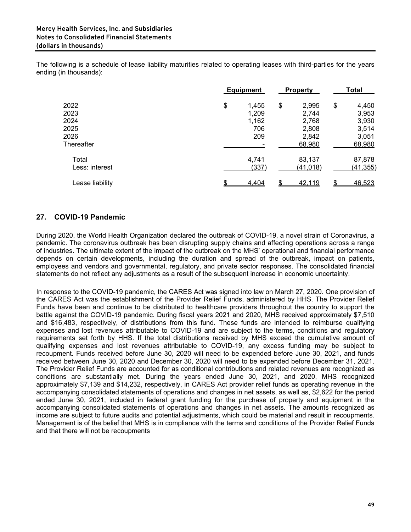The following is a schedule of lease liability maturities related to operating leases with third-parties for the years ending (in thousands):

|                 | <b>Equipment</b> |    | <b>Property</b> | <b>Total</b> |           |  |
|-----------------|------------------|----|-----------------|--------------|-----------|--|
| 2022            | \$<br>1,455      | \$ | 2,995           | \$           | 4,450     |  |
| 2023            | 1,209            |    | 2,744           |              | 3,953     |  |
| 2024            | 1,162            |    | 2,768           |              | 3,930     |  |
| 2025            | 706              |    | 2,808           |              | 3,514     |  |
| 2026            | 209              |    | 2,842           |              | 3,051     |  |
| Thereafter      |                  |    | 68,980          |              | 68,980    |  |
| Total           | 4,741            |    | 83,137          |              | 87,878    |  |
| Less: interest  | (337)            |    | (41, 018)       |              | (41, 355) |  |
| Lease liability | 4,404            | ደ  | 42,119          | ድ            | 46,523    |  |

#### **27. COVID-19 Pandemic**

During 2020, the World Health Organization declared the outbreak of COVID-19, a novel strain of Coronavirus, a pandemic. The coronavirus outbreak has been disrupting supply chains and affecting operations across a range of industries. The ultimate extent of the impact of the outbreak on the MHS' operational and financial performance depends on certain developments, including the duration and spread of the outbreak, impact on patients, employees and vendors and governmental, regulatory, and private sector responses. The consolidated financial statements do not reflect any adjustments as a result of the subsequent increase in economic uncertainty.

In response to the COVID-19 pandemic, the CARES Act was signed into law on March 27, 2020. One provision of the CARES Act was the establishment of the Provider Relief Funds, administered by HHS. The Provider Relief Funds have been and continue to be distributed to healthcare providers throughout the country to support the battle against the COVID-19 pandemic. During fiscal years 2021 and 2020, MHS received approximately \$7,510 and \$16,483, respectively, of distributions from this fund. These funds are intended to reimburse qualifying expenses and lost revenues attributable to COVID-19 and are subject to the terms, conditions and regulatory requirements set forth by HHS. If the total distributions received by MHS exceed the cumulative amount of qualifying expenses and lost revenues attributable to COVID-19, any excess funding may be subject to recoupment. Funds received before June 30, 2020 will need to be expended before June 30, 2021, and funds received between June 30, 2020 and December 30, 2020 will need to be expended before December 31, 2021. The Provider Relief Funds are accounted for as conditional contributions and related revenues are recognized as conditions are substantially met. During the years ended June 30, 2021, and 2020, MHS recognized approximately \$7,139 and \$14,232, respectively, in CARES Act provider relief funds as operating revenue in the accompanying consolidated statements of operations and changes in net assets, as well as, \$2,622 for the period ended June 30, 2021, included in federal grant funding for the purchase of property and equipment in the accompanying consolidated statements of operations and changes in net assets. The amounts recognized as income are subject to future audits and potential adjustments, which could be material and result in recoupments. Management is of the belief that MHS is in compliance with the terms and conditions of the Provider Relief Funds and that there will not be recoupments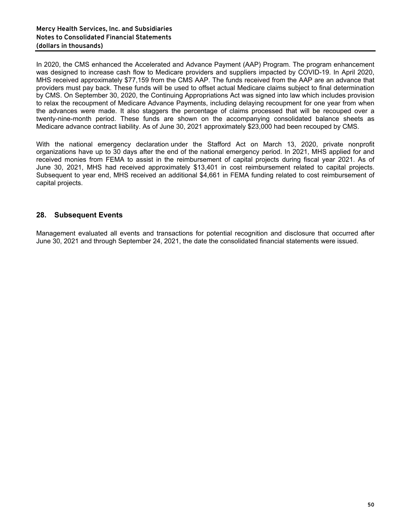In 2020, the CMS enhanced the Accelerated and Advance Payment (AAP) Program. The program enhancement was designed to increase cash flow to Medicare providers and suppliers impacted by COVID-19. In April 2020, MHS received approximately \$77,159 from the CMS AAP. The funds received from the AAP are an advance that providers must pay back. These funds will be used to offset actual Medicare claims subject to final determination by CMS. On September 30, 2020, the Continuing Appropriations Act was signed into law which includes provision to relax the recoupment of Medicare Advance Payments, including delaying recoupment for one year from when the advances were made. It also staggers the percentage of claims processed that will be recouped over a twenty-nine-month period. These funds are shown on the accompanying consolidated balance sheets as Medicare advance contract liability. As of June 30, 2021 approximately \$23,000 had been recouped by CMS.

With the national emergency declaration under the Stafford Act on March 13, 2020, private nonprofit organizations have up to 30 days after the end of the national emergency period. In 2021, MHS applied for and received monies from FEMA to assist in the reimbursement of capital projects during fiscal year 2021. As of June 30, 2021, MHS had received approximately \$13,401 in cost reimbursement related to capital projects. Subsequent to year end, MHS received an additional \$4,661 in FEMA funding related to cost reimbursement of capital projects.

#### **28. Subsequent Events**

Management evaluated all events and transactions for potential recognition and disclosure that occurred after June 30, 2021 and through September 24, 2021, the date the consolidated financial statements were issued.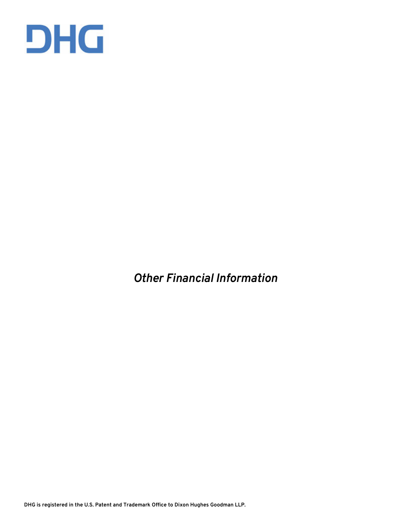

*Other Financial Information*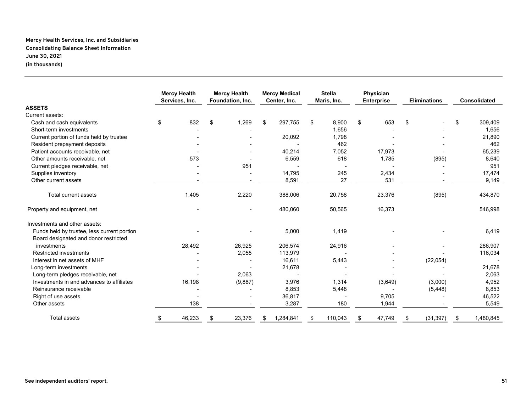#### **(in thousands) Mercy Health Services, Inc. and Subsidiaries Consolidating Balance Sheet Information June 30, 2021**

|                                             | <b>Mercy Health</b><br>Services, Inc. |    | <b>Mercy Health</b><br>Foundation, Inc. |    | <b>Mercy Medical</b><br>Center, Inc. |    | <b>Stella</b><br>Maris, Inc. |    | Physician<br><b>Enterprise</b> | <b>Eliminations</b> |           |     | <b>Consolidated</b> |
|---------------------------------------------|---------------------------------------|----|-----------------------------------------|----|--------------------------------------|----|------------------------------|----|--------------------------------|---------------------|-----------|-----|---------------------|
| <b>ASSETS</b>                               |                                       |    |                                         |    |                                      |    |                              |    |                                |                     |           |     |                     |
| Current assets:                             |                                       |    |                                         |    |                                      |    |                              |    |                                |                     |           |     |                     |
| Cash and cash equivalents                   | \$<br>832                             | \$ | 1,269                                   | \$ | 297.755                              | \$ | 8,900                        | \$ | 653                            | \$                  |           | \$  | 309,409             |
| Short-term investments                      |                                       |    |                                         |    |                                      |    | 1,656                        |    |                                |                     |           |     | 1,656               |
| Current portion of funds held by trustee    |                                       |    |                                         |    | 20,092                               |    | 1,798                        |    |                                |                     |           |     | 21,890              |
| Resident prepayment deposits                |                                       |    |                                         |    |                                      |    | 462                          |    |                                |                     |           |     | 462                 |
| Patient accounts receivable, net            |                                       |    |                                         |    | 40,214                               |    | 7,052                        |    | 17,973                         |                     |           |     | 65,239              |
| Other amounts receivable, net               | 573                                   |    |                                         |    | 6,559                                |    | 618                          |    | 1,785                          |                     | (895)     |     | 8,640               |
| Current pledges receivable, net             |                                       |    | 951                                     |    |                                      |    |                              |    |                                |                     |           |     | 951                 |
| Supplies inventory                          |                                       |    |                                         |    | 14,795                               |    | 245                          |    | 2,434                          |                     |           |     | 17,474              |
| Other current assets                        |                                       |    |                                         |    | 8,591                                |    | 27                           |    | 531                            |                     |           |     | 9,149               |
| Total current assets                        | 1,405                                 |    | 2,220                                   |    | 388,006                              |    | 20,758                       |    | 23,376                         |                     | (895)     |     | 434,870             |
| Property and equipment, net                 |                                       |    |                                         |    | 480,060                              |    | 50,565                       |    | 16,373                         |                     |           |     | 546,998             |
| Investments and other assets:               |                                       |    |                                         |    |                                      |    |                              |    |                                |                     |           |     |                     |
| Funds held by trustee, less current portion |                                       |    |                                         |    | 5,000                                |    | 1,419                        |    |                                |                     |           |     | 6,419               |
| Board designated and donor restricted       |                                       |    |                                         |    |                                      |    |                              |    |                                |                     |           |     |                     |
| investments                                 | 28,492                                |    | 26,925                                  |    | 206,574                              |    | 24,916                       |    |                                |                     |           |     | 286,907             |
| <b>Restricted investments</b>               |                                       |    | 2,055                                   |    | 113,979                              |    |                              |    |                                |                     |           |     | 116,034             |
| Interest in net assets of MHF               |                                       |    |                                         |    | 16,611                               |    | 5,443                        |    |                                |                     | (22,054)  |     |                     |
| Long-term investments                       |                                       |    |                                         |    | 21,678                               |    |                              |    |                                |                     |           |     | 21,678              |
| Long-term pledges receivable, net           |                                       |    | 2,063                                   |    |                                      |    |                              |    |                                |                     |           |     | 2,063               |
| Investments in and advances to affiliates   | 16,198                                |    | (9,887)                                 |    | 3,976                                |    | 1,314                        |    | (3,649)                        |                     | (3,000)   |     | 4,952               |
| Reinsurance receivable                      |                                       |    |                                         |    | 8,853                                |    | 5,448                        |    |                                |                     | (5, 448)  |     | 8,853               |
| Right of use assets                         |                                       |    |                                         |    | 36,817                               |    |                              |    | 9,705                          |                     |           |     | 46,522              |
| Other assets                                | 138                                   |    |                                         |    | 3,287                                |    | 180                          |    | 1,944                          |                     |           |     | 5,549               |
| <b>Total assets</b>                         | 46,233                                | £  | 23,376                                  | \$ | 1,284,841                            |    | 110,043                      |    | 47,749                         |                     | (31, 397) | -\$ | 1,480,845           |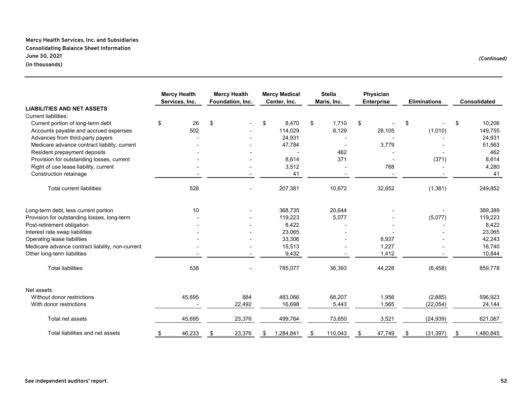#### **(in thousands) Consolidating Balance Sheet Information June 30, 2021 Mercy Health Services, Inc. and Subsidiaries**

|                                                  | <b>Mercy Health</b><br>Services, Inc. |  | <b>Mercy Health</b><br>Foundation, Inc. |    | <b>Mercy Medical</b><br>Center, Inc. |    | <b>Stella</b><br>Maris, Inc. |    | Physician<br><b>Enterprise</b> | <b>Eliminations</b> |           | <b>Consolidated</b> |           |
|--------------------------------------------------|---------------------------------------|--|-----------------------------------------|----|--------------------------------------|----|------------------------------|----|--------------------------------|---------------------|-----------|---------------------|-----------|
| <b>LIABILITIES AND NET ASSETS</b>                |                                       |  |                                         |    |                                      |    |                              |    |                                |                     |           |                     |           |
| <b>Current liabilities:</b>                      |                                       |  |                                         |    |                                      |    |                              |    |                                |                     |           |                     |           |
| Current portion of long-term debt                | 26<br>\$                              |  | \$                                      | \$ | 8,470                                | \$ | 1,710                        | \$ |                                | \$                  |           | \$                  | 10,206    |
| Accounts payable and accrued expenses            | 502                                   |  |                                         |    | 114,029                              |    | 8,129                        |    | 28,105                         |                     | (1,010)   |                     | 149,755   |
| Advances from third-party payers                 |                                       |  |                                         |    | 24,931                               |    |                              |    |                                |                     |           |                     | 24,931    |
| Medicare advance contract liability, current     |                                       |  |                                         |    | 47,784                               |    |                              |    | 3,779                          |                     |           |                     | 51,563    |
| Resident prepayment deposits                     |                                       |  |                                         |    |                                      |    | 462                          |    |                                |                     |           |                     | 462       |
| Provision for outstanding losses, current        |                                       |  |                                         |    | 8,614                                |    | 371                          |    |                                |                     | (371)     |                     | 8,614     |
| Right of use lease liability, current            |                                       |  |                                         |    | 3,512                                |    |                              |    | 768                            |                     |           |                     | 4,280     |
| Construction retainage                           |                                       |  |                                         |    | 41                                   |    |                              |    |                                |                     |           |                     | 41        |
| <b>Total current liabilities</b>                 | 528                                   |  |                                         |    | 207,381                              |    | 10,672                       |    | 32,652                         |                     | (1, 381)  |                     | 249,852   |
| Long-term debt, less current portion             | 10                                    |  |                                         |    | 368,735                              |    | 20,644                       |    |                                |                     |           |                     | 389,389   |
| Provision for outstanding losses, long-term      |                                       |  |                                         |    | 119,223                              |    | 5,077                        |    |                                |                     | (5,077)   |                     | 119,223   |
| Post-retirement obligation                       |                                       |  |                                         |    | 8,422                                |    |                              |    |                                |                     |           |                     | 8,422     |
| Interest rate swap liabilities                   |                                       |  |                                         |    | 23,065                               |    |                              |    |                                |                     |           |                     | 23,065    |
| Operating lease liabilities                      |                                       |  |                                         |    | 33,306                               |    |                              |    | 8,937                          |                     |           |                     | 42,243    |
| Medicare advance contract liability, non-current |                                       |  |                                         |    | 15,513                               |    |                              |    | 1,227                          |                     |           |                     | 16,740    |
| Other long-term liabilities                      |                                       |  |                                         |    | 9,432                                |    |                              |    | 1,412                          |                     |           |                     | 10,844    |
| <b>Total liabilities</b>                         | 538                                   |  |                                         |    | 785,077                              |    | 36,393                       |    | 44,228                         |                     | (6, 458)  |                     | 859,778   |
| Net assets:                                      |                                       |  |                                         |    |                                      |    |                              |    |                                |                     |           |                     |           |
| Without donor restrictions                       | 45,695                                |  | 884                                     |    | 483,066                              |    | 68,207                       |    | 1,956                          |                     | (2,885)   |                     | 596,923   |
| With donor restrictions                          |                                       |  | 22,492                                  |    | 16,698                               |    | 5,443                        |    | 1,565                          |                     | (22, 054) |                     | 24,144    |
| Total net assets                                 | 45,695                                |  | 23,376                                  |    | 499,764                              |    | 73,650                       |    | 3,521                          |                     | (24, 939) |                     | 621,067   |
| Total liabilities and net assets                 | 46,233<br>S                           |  | 23,376<br>-S                            | -S | 1,284,841                            | S  | 110,043                      | S  | 47,749                         | -S                  | (31, 397) | - \$                | 1,480,845 |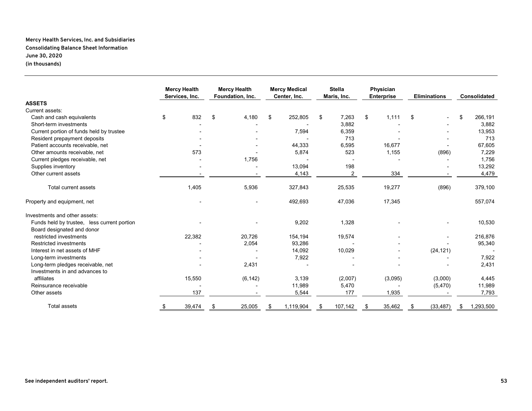#### **(in thousands) Mercy Health Services, Inc. and Subsidiaries Consolidating Balance Sheet Information June 30, 2020**

|                                             | <b>Mercy Health</b><br>Services, Inc. | <b>Mercy Health</b><br>Foundation, Inc. |          | <b>Mercy Medical</b><br>Center, Inc. |           | <b>Stella</b><br>Maris, Inc. |                | Physician<br><b>Enterprise</b> |         | <b>Eliminations</b> |    | Consolidated |
|---------------------------------------------|---------------------------------------|-----------------------------------------|----------|--------------------------------------|-----------|------------------------------|----------------|--------------------------------|---------|---------------------|----|--------------|
| <b>ASSETS</b>                               |                                       |                                         |          |                                      |           |                              |                |                                |         |                     |    |              |
| Current assets:                             |                                       |                                         |          |                                      |           |                              |                |                                |         |                     |    |              |
| Cash and cash equivalents                   | \$<br>832                             | \$                                      | 4,180    | \$                                   | 252,805   | \$                           | 7,263          | \$                             | 1,111   | \$                  | \$ | 266,191      |
| Short-term investments                      |                                       |                                         |          |                                      |           |                              | 3,882          |                                |         |                     |    | 3,882        |
| Current portion of funds held by trustee    |                                       |                                         |          |                                      | 7,594     |                              | 6,359          |                                |         |                     |    | 13,953       |
| Resident prepayment deposits                |                                       |                                         |          |                                      |           |                              | 713            |                                |         |                     |    | 713          |
| Patient accounts receivable, net            |                                       |                                         |          |                                      | 44,333    |                              | 6,595          |                                | 16,677  |                     |    | 67,605       |
| Other amounts receivable, net               | 573                                   |                                         |          |                                      | 5,874     |                              | 523            |                                | 1,155   | (896)               |    | 7,229        |
| Current pledges receivable, net             |                                       |                                         | 1,756    |                                      |           |                              |                |                                |         |                     |    | 1,756        |
| Supplies inventory                          |                                       |                                         |          |                                      | 13,094    |                              | 198            |                                |         |                     |    | 13,292       |
| Other current assets                        |                                       |                                         |          |                                      | 4,143     |                              | $\overline{c}$ |                                | 334     |                     |    | 4,479        |
| Total current assets                        | 1,405                                 |                                         | 5,936    |                                      | 327,843   |                              | 25,535         |                                | 19,277  | (896)               |    | 379,100      |
| Property and equipment, net                 |                                       |                                         |          |                                      | 492,693   |                              | 47,036         |                                | 17,345  |                     |    | 557,074      |
| Investments and other assets:               |                                       |                                         |          |                                      |           |                              |                |                                |         |                     |    |              |
| Funds held by trustee, less current portion |                                       |                                         |          |                                      | 9,202     |                              | 1,328          |                                |         |                     |    | 10,530       |
| Board designated and donor                  |                                       |                                         |          |                                      |           |                              |                |                                |         |                     |    |              |
| restricted investments                      | 22,382                                |                                         | 20,726   |                                      | 154,194   |                              | 19,574         |                                |         |                     |    | 216,876      |
| <b>Restricted investments</b>               |                                       |                                         | 2,054    |                                      | 93,286    |                              |                |                                |         |                     |    | 95,340       |
| Interest in net assets of MHF               |                                       |                                         |          |                                      | 14,092    |                              | 10,029         |                                |         | (24, 121)           |    |              |
| Long-term investments                       |                                       |                                         |          |                                      | 7,922     |                              |                |                                |         |                     |    | 7,922        |
| Long-term pledges receivable, net           |                                       |                                         | 2,431    |                                      |           |                              |                |                                |         |                     |    | 2,431        |
| Investments in and advances to              |                                       |                                         |          |                                      |           |                              |                |                                |         |                     |    |              |
| affiliates                                  | 15,550                                |                                         | (6, 142) |                                      | 3,139     |                              | (2,007)        |                                | (3,095) | (3,000)             |    | 4,445        |
| Reinsurance receivable                      |                                       |                                         |          |                                      | 11,989    |                              | 5,470          |                                |         | (5, 470)            |    | 11,989       |
| Other assets                                | 137                                   |                                         |          |                                      | 5,544     |                              | 177            |                                | 1,935   |                     |    | 7,793        |
| <b>Total assets</b>                         | 39,474                                |                                         | 25,005   |                                      | 1,119,904 |                              | 107,142        | - \$                           | 35,462  | (33, 487)           | S. | 1,293,500    |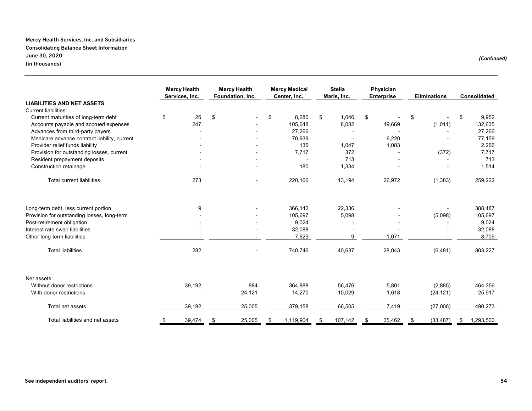#### **(in thousands) Mercy Health Services, Inc. and Subsidiaries Consolidating Balance Sheet Information June 30, 2020**

|                                              |    | <b>Mercy Health</b><br>Services, Inc. |    | <b>Mercy Health</b><br>Foundation, Inc. |    | <b>Mercy Medical</b><br>Center, Inc. |    | <b>Stella</b><br>Maris, Inc. | Physician<br><b>Enterprise</b> |        | <b>Eliminations</b> |           | Consolidated |          |
|----------------------------------------------|----|---------------------------------------|----|-----------------------------------------|----|--------------------------------------|----|------------------------------|--------------------------------|--------|---------------------|-----------|--------------|----------|
| <b>LIABILITIES AND NET ASSETS</b>            |    |                                       |    |                                         |    |                                      |    |                              |                                |        |                     |           |              |          |
| <b>Current liabilities:</b>                  |    |                                       |    |                                         |    |                                      |    |                              |                                |        |                     |           |              |          |
| Current maturities of long-term debt         | \$ | 26                                    | \$ |                                         | \$ | 8,280                                | \$ | 1,646                        | \$                             |        | \$                  |           | \$           | 9,952    |
| Accounts payable and accrued expenses        |    | 247                                   |    |                                         |    | 105,648                              |    | 8,082                        |                                | 19,669 |                     | (1,011)   |              | 132,635  |
| Advances from third-party payers             |    |                                       |    |                                         |    | 27,266                               |    |                              |                                |        |                     |           |              | 27,266   |
| Medicare advance contract liability, current |    |                                       |    |                                         |    | 70,939                               |    |                              |                                | 6,220  |                     |           |              | 77,159   |
| Provider relief funds liability              |    |                                       |    |                                         |    | 136                                  |    | 1,047                        |                                | 1,083  |                     |           |              | 2,266    |
| Provision for outstanding losses, current    |    |                                       |    |                                         |    | 7,717                                |    | 372                          |                                |        |                     | (372)     |              | 7,717    |
| Resident prepayment deposits                 |    |                                       |    |                                         |    |                                      |    | 713                          |                                |        |                     |           |              | 713      |
| Construction retainage                       |    |                                       |    |                                         |    | 180                                  |    | 1,334                        |                                |        |                     |           |              | 1,514    |
| <b>Total current liabilities</b>             |    | 273                                   |    | $\overline{\phantom{0}}$                |    | 220,166                              |    | 13,194                       |                                | 26,972 |                     | (1, 383)  |              | 259,222  |
| Long-term debt, less current portion         |    | 9                                     |    |                                         |    | 366,142                              |    | 22,336                       |                                |        |                     |           |              | 388,487  |
| Provision for outstanding losses, long-term  |    |                                       |    |                                         |    | 105,697                              |    | 5,098                        |                                |        |                     | (5,098)   |              | 105,697  |
| Post-retirement obligation                   |    |                                       |    |                                         |    | 9,024                                |    |                              |                                |        |                     |           |              | 9,024    |
| Interest rate swap liabilities               |    |                                       |    |                                         |    | 32,088                               |    |                              |                                |        |                     |           |              | 32,088   |
| Other long-term liabilities                  |    |                                       |    |                                         |    | 7,629                                |    | 9                            |                                | 1,071  |                     |           |              | 8,709    |
| <b>Total liabilities</b>                     |    | 282                                   |    |                                         |    | 740,746                              |    | 40,637                       |                                | 28,043 |                     | (6, 481)  |              | 803,227  |
| Net assets:                                  |    |                                       |    |                                         |    |                                      |    |                              |                                |        |                     |           |              |          |
| Without donor restrictions                   |    | 39,192                                |    | 884                                     |    | 364,888                              |    | 56,476                       |                                | 5,801  |                     | (2,885)   |              | 464,356  |
| With donor restrictions                      |    |                                       |    | 24,121                                  |    | 14,270                               |    | 10,029                       |                                | 1,618  |                     | (24, 121) |              | 25,917   |
| Total net assets                             |    | 39,192                                |    | 25,005                                  |    | 379,158                              |    | 66,505                       |                                | 7,419  |                     | (27,006)  |              | 490,273  |
| Total liabilities and net assets             | \$ | 39,474                                | \$ | 25,005                                  | \$ | 1,119,904                            |    | 107,142                      | \$                             | 35,462 | \$                  | (33, 487) | ደ            | .293.500 |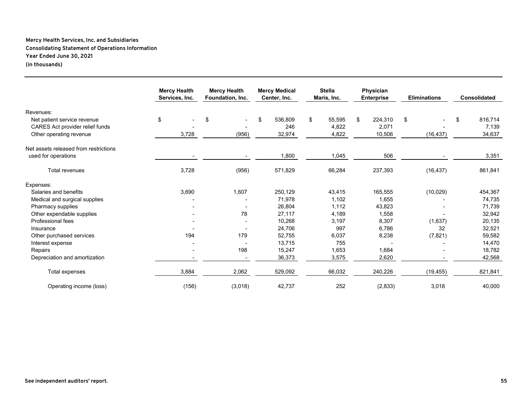#### **Mercy Health Services, Inc. and Subsidiaries Consolidating Statement of Operations Information Year Ended June 30, 2021**

**(in thousands)**

|                                                                                                        | <b>Mercy Health</b><br>Services, Inc. | <b>Mercy Health</b><br>Foundation, Inc. | <b>Mercy Medical</b><br>Center, Inc. | <b>Stella</b><br>Maris, Inc.   | Physician<br><b>Enterprise</b>   | <b>Eliminations</b> | <b>Consolidated</b>              |  |
|--------------------------------------------------------------------------------------------------------|---------------------------------------|-----------------------------------------|--------------------------------------|--------------------------------|----------------------------------|---------------------|----------------------------------|--|
| Revenues:<br>Net patient service revenue<br>CARES Act provider relief funds<br>Other operating revenue | \$<br>۰<br>3,728                      | \$<br>$\blacksquare$<br>(956)           | \$<br>536.809<br>246<br>32,974       | \$<br>55,595<br>4,822<br>4,822 | \$<br>224,310<br>2,071<br>10,506 | \$<br>(16, 437)     | 816,714<br>\$<br>7,139<br>34,637 |  |
| Net assets released from restrictions<br>used for operations                                           |                                       |                                         | 1,800                                | 1,045                          | 506                              |                     | 3,351                            |  |
|                                                                                                        |                                       |                                         |                                      |                                |                                  |                     |                                  |  |
| Total revenues                                                                                         | 3,728                                 | (956)                                   | 571,829                              | 66,284                         | 237,393                          | (16, 437)           | 861,841                          |  |
| Expenses:                                                                                              |                                       |                                         |                                      |                                |                                  |                     |                                  |  |
| Salaries and benefits                                                                                  | 3,690                                 | 1,607                                   | 250,129                              | 43,415                         | 165,555                          | (10, 029)           | 454,367                          |  |
| Medical and surgical supplies                                                                          |                                       |                                         | 71,978                               | 1,102                          | 1,655                            |                     | 74,735                           |  |
| Pharmacy supplies                                                                                      |                                       |                                         | 26,804                               | 1,112                          | 43,823                           |                     | 71,739                           |  |
| Other expendable supplies                                                                              |                                       | 78                                      | 27,117                               | 4,189                          | 1,558                            |                     | 32,942                           |  |
| Professional fees                                                                                      |                                       |                                         | 10,268                               | 3,197                          | 8,307                            | (1,637)             | 20,135                           |  |
| Insurance                                                                                              |                                       |                                         | 24,706                               | 997                            | 6,786                            | 32                  | 32,521                           |  |
| Other purchased services                                                                               | 194                                   | 179                                     | 52,755                               | 6,037                          | 8,238                            | (7, 821)            | 59,582                           |  |
| Interest expense                                                                                       |                                       |                                         | 13,715                               | 755                            |                                  |                     | 14,470                           |  |
| Repairs                                                                                                |                                       | 198                                     | 15,247                               | 1,653                          | 1,684                            |                     | 18,782                           |  |
| Depreciation and amortization                                                                          |                                       |                                         | 36,373                               | 3,575                          | 2,620                            |                     | 42,568                           |  |
| Total expenses                                                                                         | 3,884                                 | 2,062                                   | 529,092                              | 66,032                         | 240,226                          | (19, 455)           | 821,841                          |  |
| Operating income (loss)                                                                                | (156)                                 | (3,018)                                 | 42,737                               | 252                            | (2,833)                          | 3,018               | 40,000                           |  |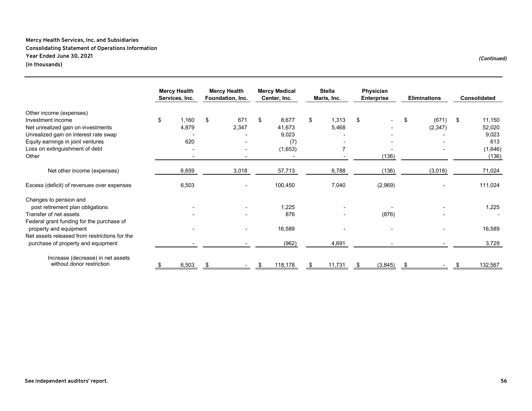#### **(in thousands) Mercy Health Services, Inc. and Subsidiaries Consolidating Statement of Operations Information Year Ended June 30, 2021**

|                                                                                                                                                                                                                                                    |    | <b>Mercy Health</b><br>Services, Inc. |    | <b>Mercy Health</b><br>Foundation, Inc. |  | <b>Mercy Medical</b><br>Center, Inc.       |    | <b>Stella</b><br>Maris, Inc. |     | Physician<br><b>Enterprise</b> |    | <b>Eliminations</b> |    | <b>Consolidated</b>                                  |
|----------------------------------------------------------------------------------------------------------------------------------------------------------------------------------------------------------------------------------------------------|----|---------------------------------------|----|-----------------------------------------|--|--------------------------------------------|----|------------------------------|-----|--------------------------------|----|---------------------|----|------------------------------------------------------|
| Other income (expenses)<br>Investment income<br>Net unrealized gain on investments<br>Unrealized gain on interest rate swap<br>Equity earnings in joint ventures<br>Loss on extinguishment of debt<br>Other                                        | \$ | 1,160<br>4,879<br>620                 | \$ | 671<br>2,347                            |  | 8,677<br>41,673<br>9,023<br>(7)<br>(1,653) | \$ | 1,313<br>5,468               | \$  | (136)                          | \$ | (671)<br>(2, 347)   | \$ | 11,150<br>52,020<br>9,023<br>613<br>(1,646)<br>(136) |
| Net other income (expenses)                                                                                                                                                                                                                        |    | 6,659                                 |    | 3,018                                   |  | 57,713                                     |    | 6,788                        |     | (136)                          |    | (3,018)             |    | 71,024                                               |
| Excess (deficit) of revenues over expenses                                                                                                                                                                                                         |    | 6,503                                 |    |                                         |  | 100,450                                    |    | 7,040                        |     | (2,969)                        |    |                     |    | 111,024                                              |
| Changes to pension and<br>post retirement plan obligations<br>Transfer of net assets<br>Federal grant funding for the purchase of<br>property and equipment<br>Net assets released from restrictions for the<br>purchase of property and equipment |    |                                       |    |                                         |  | 1,225<br>876<br>16,589<br>(962)            |    | 4,691                        |     | (876)                          |    |                     |    | 1,225<br>16,589<br>3,729                             |
| Increase (decrease) in net assets<br>without donor restriction                                                                                                                                                                                     |    | 6,503                                 |    |                                         |  | 118,178                                    |    | 11,731                       | -\$ | (3,845)                        |    |                     |    | 132,567                                              |

*(Continued)*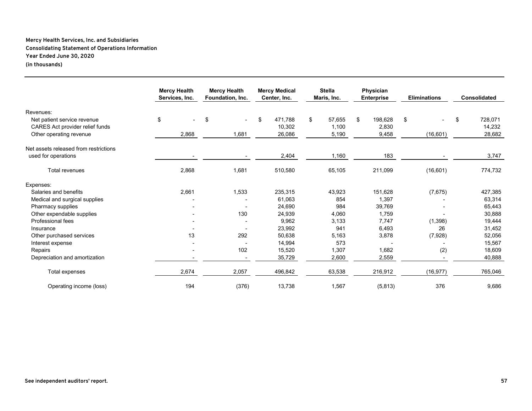#### **Mercy Health Services, Inc. and Subsidiaries Consolidating Statement of Operations Information Year Ended June 30, 2020**

**(in thousands)**

|                                                                                                        | <b>Mercy Health</b><br>Services, Inc. | <b>Mercy Health</b><br>Foundation, Inc. | <b>Mercy Medical</b><br>Center, Inc. | <b>Stella</b><br>Maris, Inc.   | <b>Physician</b><br><b>Enterprise</b> | <b>Eliminations</b> | Consolidated                      |  |
|--------------------------------------------------------------------------------------------------------|---------------------------------------|-----------------------------------------|--------------------------------------|--------------------------------|---------------------------------------|---------------------|-----------------------------------|--|
| Revenues:<br>Net patient service revenue<br>CARES Act provider relief funds<br>Other operating revenue | \$<br>$\sim$<br>2,868                 | \$<br>٠<br>1,681                        | \$<br>471.788<br>10.302<br>26,086    | \$<br>57,655<br>1,100<br>5,190 | \$<br>198,628<br>2,830<br>9,458       | \$<br>(16, 601)     | \$<br>728,071<br>14,232<br>28,682 |  |
| Net assets released from restrictions<br>used for operations                                           |                                       |                                         | 2,404                                | 1,160                          | 183                                   |                     | 3,747                             |  |
| Total revenues                                                                                         | 2,868                                 | 1,681                                   | 510,580                              | 65,105                         | 211,099                               | (16, 601)           | 774,732                           |  |
| Expenses:                                                                                              |                                       |                                         |                                      |                                |                                       |                     |                                   |  |
| Salaries and benefits                                                                                  | 2,661                                 | 1,533                                   | 235,315                              | 43,923                         | 151,628                               | (7,675)             | 427,385                           |  |
| Medical and surgical supplies                                                                          |                                       |                                         | 61,063                               | 854                            | 1,397                                 |                     | 63,314                            |  |
| Pharmacy supplies                                                                                      |                                       |                                         | 24,690                               | 984                            | 39,769                                |                     | 65,443                            |  |
| Other expendable supplies                                                                              |                                       | 130                                     | 24,939                               | 4.060                          | 1,759                                 |                     | 30,888                            |  |
| Professional fees                                                                                      |                                       |                                         | 9,962                                | 3,133                          | 7,747                                 | (1, 398)            | 19,444                            |  |
| Insurance                                                                                              |                                       | $\overline{\phantom{0}}$                | 23,992                               | 941                            | 6.493                                 | 26                  | 31,452                            |  |
| Other purchased services                                                                               | 13                                    | 292                                     | 50,638                               | 5,163                          | 3,878                                 | (7,928)             | 52,056                            |  |
| Interest expense                                                                                       |                                       |                                         | 14,994                               | 573                            |                                       |                     | 15,567                            |  |
| Repairs                                                                                                |                                       | 102                                     | 15,520                               | 1,307                          | 1,682                                 | (2)                 | 18,609                            |  |
| Depreciation and amortization                                                                          |                                       |                                         | 35,729                               | 2,600                          | 2,559                                 |                     | 40,888                            |  |
| Total expenses                                                                                         | 2,674                                 | 2,057                                   | 496,842                              | 63,538                         | 216,912                               | (16, 977)           | 765,046                           |  |
| Operating income (loss)                                                                                | 194                                   | (376)                                   | 13,738                               | 1,567                          | (5,813)                               | 376                 | 9,686                             |  |